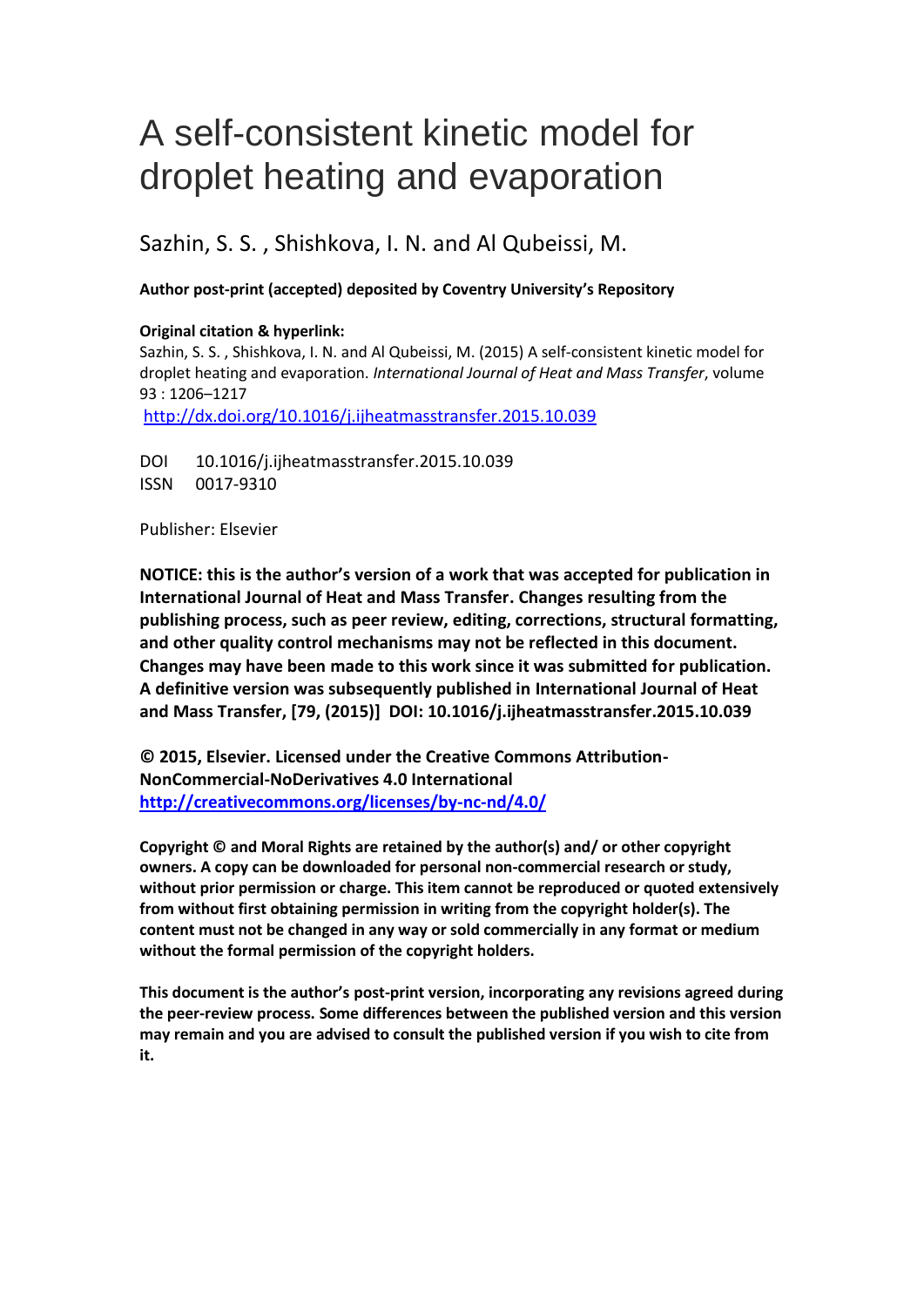# A self-consistent kinetic model for droplet heating and evaporation

Sazhin, S. S. , Shishkova, I. N. and Al Qubeissi, M.

## **Author post-print (accepted) deposited by Coventry University's Repository**

## **Original citation & hyperlink:**

Sazhin, S. S. , Shishkova, I. N. and Al Qubeissi, M. (2015) A self-consistent kinetic model for droplet heating and evaporation. *International Journal of Heat and Mass Transfer*, volume 93 : 1206–1217

<http://dx.doi.org/10.1016/j.ijheatmasstransfer.2015.10.039>

DOI 10.1016/j.ijheatmasstransfer.2015.10.039 ISSN 0017-9310

Publisher: Elsevier

**NOTICE: this is the author's version of a work that was accepted for publication in International Journal of Heat and Mass Transfer. Changes resulting from the publishing process, such as peer review, editing, corrections, structural formatting, and other quality control mechanisms may not be reflected in this document. Changes may have been made to this work since it was submitted for publication. A definitive version was subsequently published in International Journal of Heat and Mass Transfer, [79, (2015)] DOI: 10.1016/j.ijheatmasstransfer.2015.10.039**

**© 2015, Elsevier. Licensed under the Creative Commons Attribution-NonCommercial-NoDerivatives 4.0 International <http://creativecommons.org/licenses/by-nc-nd/4.0/>**

**Copyright © and Moral Rights are retained by the author(s) and/ or other copyright owners. A copy can be downloaded for personal non-commercial research or study, without prior permission or charge. This item cannot be reproduced or quoted extensively from without first obtaining permission in writing from the copyright holder(s). The content must not be changed in any way or sold commercially in any format or medium without the formal permission of the copyright holders.** 

**This document is the author's post-print version, incorporating any revisions agreed during the peer-review process. Some differences between the published version and this version may remain and you are advised to consult the published version if you wish to cite from it.**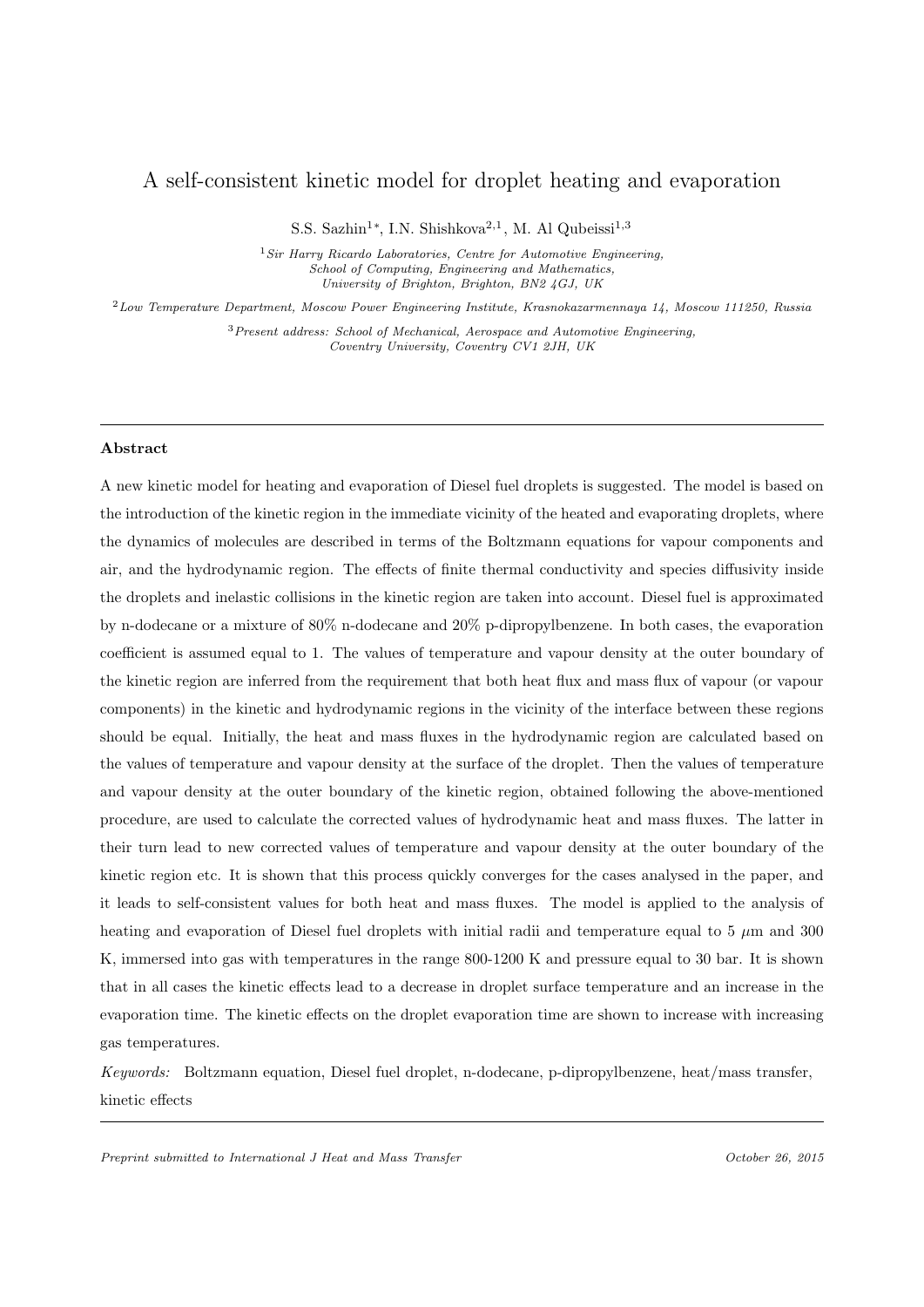## A self-consistent kinetic model for droplet heating and evaporation

S.S. Sazhin<sup>1</sup>\*, I.N. Shishkova<sup>2,1</sup>, M. Al Qubeissi<sup>1,3</sup>

 $1$  Sir Harry Ricardo Laboratories, Centre for Automotive Engineering, School of Computing, Engineering and Mathematics, University of Brighton, Brighton, BN2 4GJ, UK

<sup>2</sup>Low Temperature Department, Moscow Power Engineering Institute, Krasnokazarmennaya 14, Moscow 111250, Russia

<sup>3</sup> Present address: School of Mechanical, Aerospace and Automotive Engineering, Coventry University, Coventry CV1 2JH, UK

#### Abstract

A new kinetic model for heating and evaporation of Diesel fuel droplets is suggested. The model is based on the introduction of the kinetic region in the immediate vicinity of the heated and evaporating droplets, where the dynamics of molecules are described in terms of the Boltzmann equations for vapour components and air, and the hydrodynamic region. The effects of finite thermal conductivity and species diffusivity inside the droplets and inelastic collisions in the kinetic region are taken into account. Diesel fuel is approximated by n-dodecane or a mixture of 80% n-dodecane and 20% p-dipropylbenzene. In both cases, the evaporation coefficient is assumed equal to 1. The values of temperature and vapour density at the outer boundary of the kinetic region are inferred from the requirement that both heat flux and mass flux of vapour (or vapour components) in the kinetic and hydrodynamic regions in the vicinity of the interface between these regions should be equal. Initially, the heat and mass fluxes in the hydrodynamic region are calculated based on the values of temperature and vapour density at the surface of the droplet. Then the values of temperature and vapour density at the outer boundary of the kinetic region, obtained following the above-mentioned procedure, are used to calculate the corrected values of hydrodynamic heat and mass fluxes. The latter in their turn lead to new corrected values of temperature and vapour density at the outer boundary of the kinetic region etc. It is shown that this process quickly converges for the cases analysed in the paper, and it leads to self-consistent values for both heat and mass fluxes. The model is applied to the analysis of heating and evaporation of Diesel fuel droplets with initial radii and temperature equal to 5  $\mu$ m and 300 K, immersed into gas with temperatures in the range 800-1200 K and pressure equal to 30 bar. It is shown that in all cases the kinetic effects lead to a decrease in droplet surface temperature and an increase in the evaporation time. The kinetic effects on the droplet evaporation time are shown to increase with increasing gas temperatures.

Keywords: Boltzmann equation, Diesel fuel droplet, n-dodecane, p-dipropylbenzene, heat/mass transfer, kinetic effects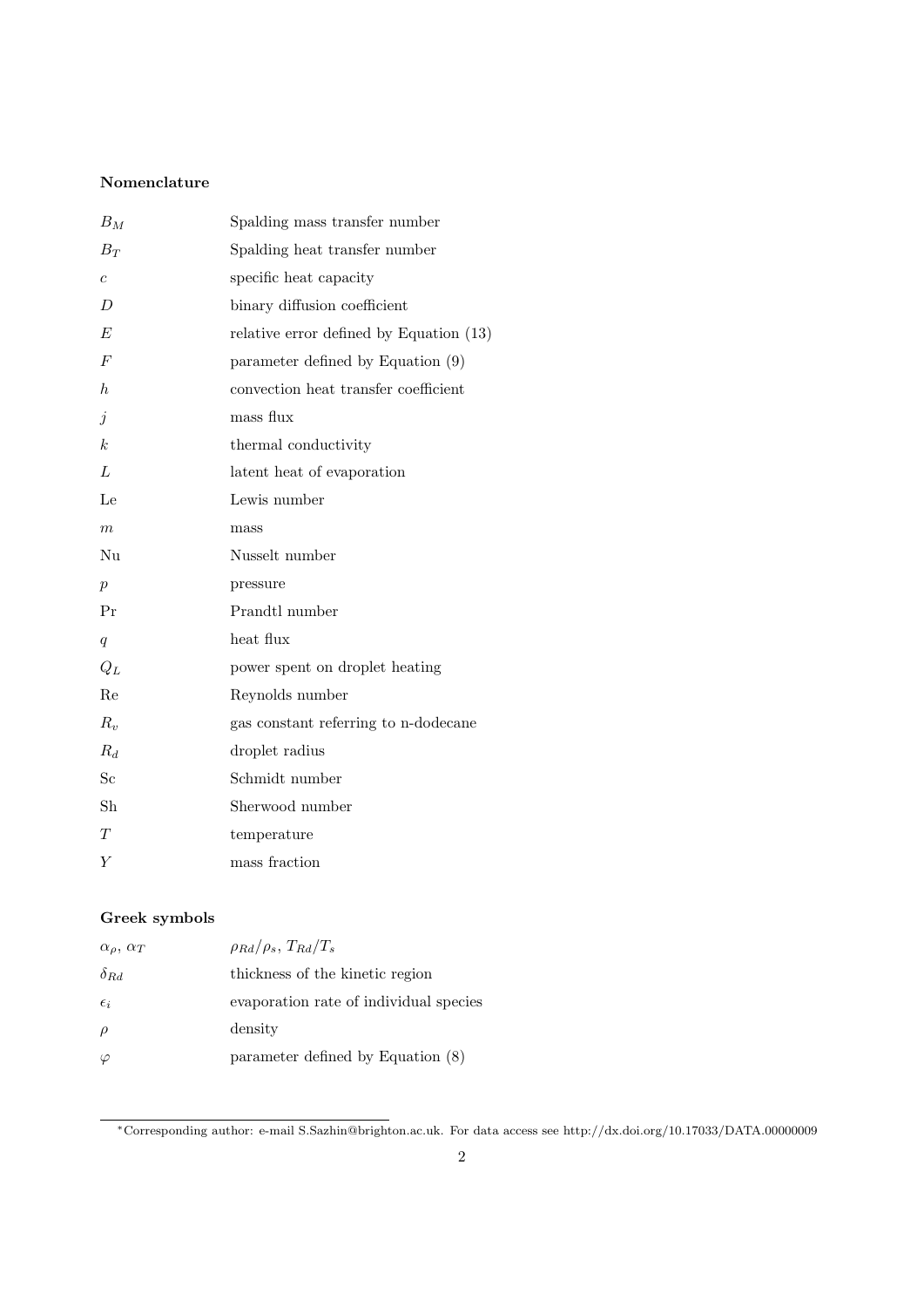### Nomenclature

| $B_M$            | Spalding mass transfer number           |
|------------------|-----------------------------------------|
| $B_T$            | Spalding heat transfer number           |
| $\overline{c}$   | specific heat capacity                  |
| $\overline{D}$   | binary diffusion coefficient            |
| E                | relative error defined by Equation (13) |
| $\overline{F}$   | parameter defined by Equation (9)       |
| $h_{\cdot}$      | convection heat transfer coefficient    |
| $\dot{j}$        | mass flux                               |
| $\boldsymbol{k}$ | thermal conductivity                    |
| L                | latent heat of evaporation              |
| Le               | Lewis number                            |
| $\,m$            | mass                                    |
| Nu               | Nusselt number                          |
| $\boldsymbol{p}$ | pressure                                |
| Pr               | Prandtl number                          |
| $\overline{q}$   | heat flux                               |
| $Q_L$            | power spent on droplet heating          |
| Re               | Reynolds number                         |
| $R_{v}$          | gas constant referring to n-dodecane    |
| $R_d$            | droplet radius                          |
| $_{\rm Sc}$      | Schmidt number                          |
| Sh               | Sherwood number                         |
| T                | temperature                             |
| Y                | mass fraction                           |

## Greek symbols

| $\alpha_{\rho}, \alpha_{T}$ | $\rho_{Rd}/\rho_s$ , $T_{Rd}/T_s$      |
|-----------------------------|----------------------------------------|
| $\delta_{Rd}$               | thickness of the kinetic region        |
| $\epsilon_i$                | evaporation rate of individual species |
| $\rho$                      | density                                |
| $\varphi$                   | parameter defined by Equation (8)      |

<sup>∗</sup>Corresponding author: e-mail S.Sazhin@brighton.ac.uk. For data access see http://dx.doi.org/10.17033/DATA.00000009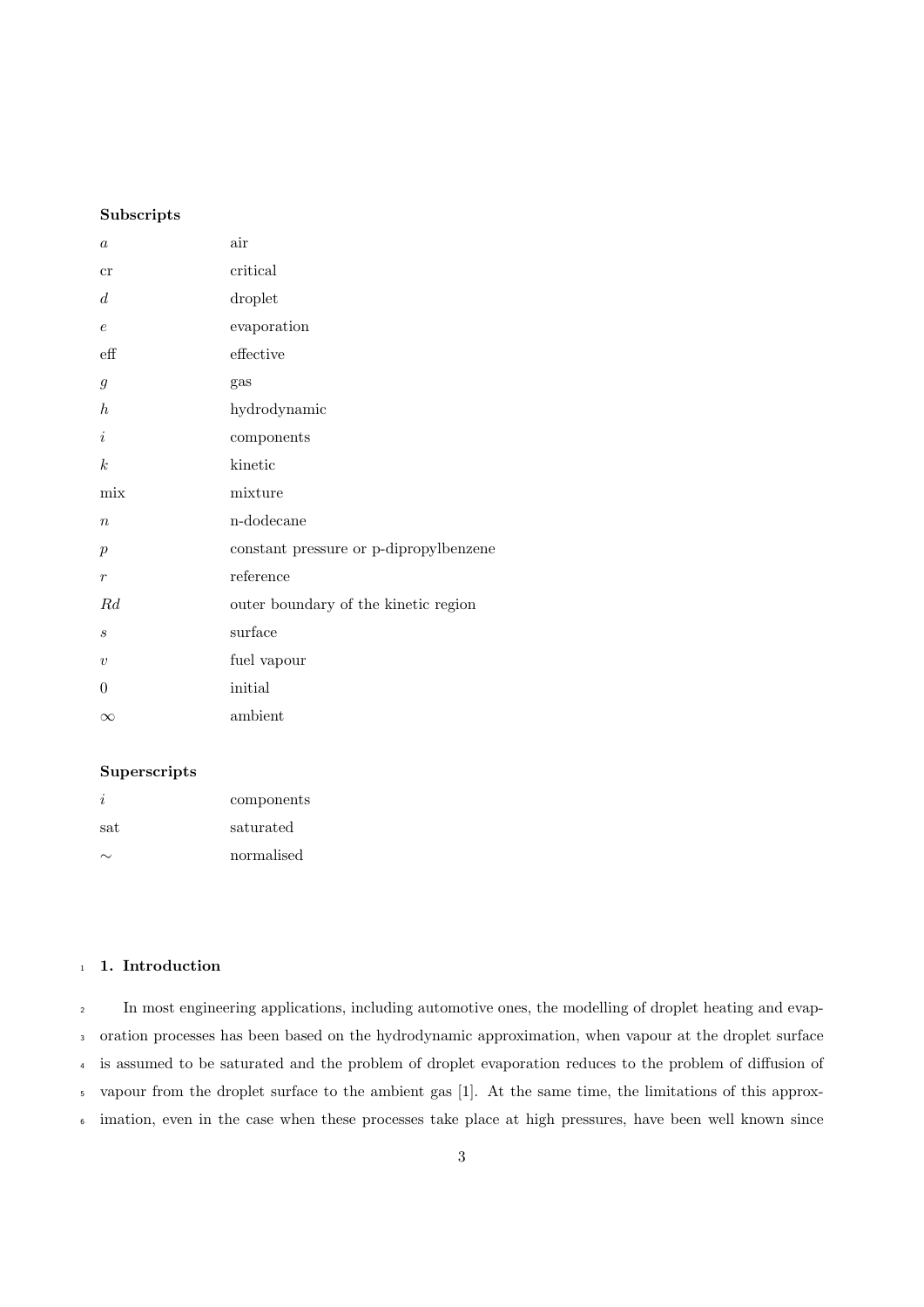#### Subscripts

| $\boldsymbol{a}$ | air                                    |
|------------------|----------------------------------------|
| cr               | critical                               |
| d                | droplet                                |
| $\epsilon$       | evaporation                            |
| $\mathrm{eff}$   | effective                              |
| $\mathfrak{g}$   | gas                                    |
| $\boldsymbol{h}$ | hydrodynamic                           |
| $\dot{i}$        | components                             |
| $\boldsymbol{k}$ | kinetic                                |
| mix              | mixture                                |
| $\boldsymbol{n}$ | n-dodecane                             |
| $\boldsymbol{p}$ | constant pressure or p-dipropylbenzene |
| $\boldsymbol{r}$ | reference                              |
| Rd               | outer boundary of the kinetic region   |
| $\boldsymbol{s}$ | surface                                |
| $\boldsymbol{v}$ | fuel vapour                            |
|                  |                                        |
| $\theta$         | initial                                |

#### Superscripts

|     | components |
|-----|------------|
| sat | saturated  |
|     | normalised |

#### 1 1. Introduction

 In most engineering applications, including automotive ones, the modelling of droplet heating and evap- oration processes has been based on the hydrodynamic approximation, when vapour at the droplet surface is assumed to be saturated and the problem of droplet evaporation reduces to the problem of diffusion of vapour from the droplet surface to the ambient gas [1]. At the same time, the limitations of this approx-imation, even in the case when these processes take place at high pressures, have been well known since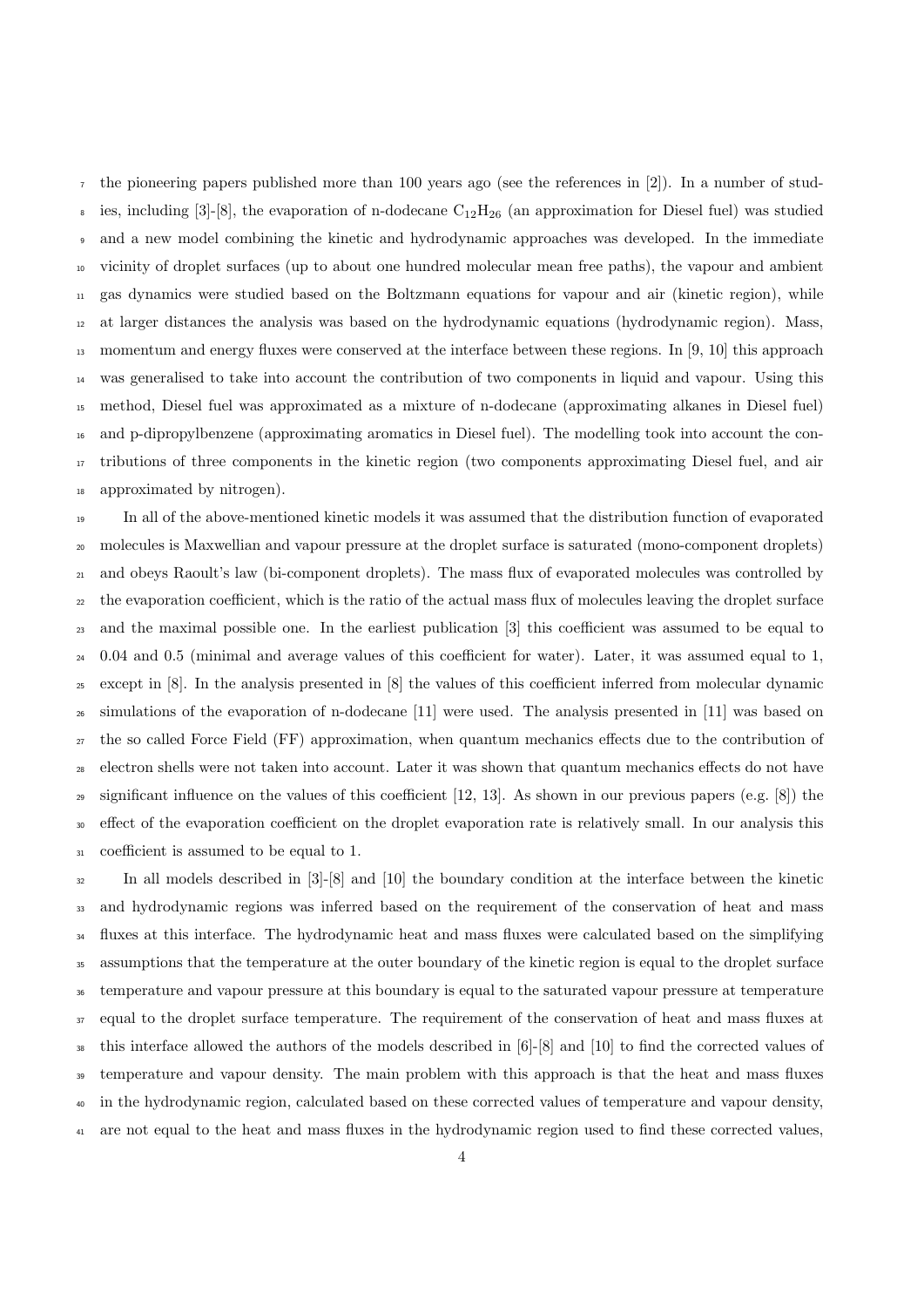the pioneering papers published more than 100 years ago (see the references in [2]). In a number of stud-<sup>8</sup> ies, including [3]-[8], the evaporation of n-dodecane  $C_{12}H_{26}$  (an approximation for Diesel fuel) was studied and a new model combining the kinetic and hydrodynamic approaches was developed. In the immediate vicinity of droplet surfaces (up to about one hundred molecular mean free paths), the vapour and ambient gas dynamics were studied based on the Boltzmann equations for vapour and air (kinetic region), while at larger distances the analysis was based on the hydrodynamic equations (hydrodynamic region). Mass, momentum and energy fluxes were conserved at the interface between these regions. In [9, 10] this approach was generalised to take into account the contribution of two components in liquid and vapour. Using this method, Diesel fuel was approximated as a mixture of n-dodecane (approximating alkanes in Diesel fuel) and p-dipropylbenzene (approximating aromatics in Diesel fuel). The modelling took into account the con- tributions of three components in the kinetic region (two components approximating Diesel fuel, and air approximated by nitrogen).

 In all of the above-mentioned kinetic models it was assumed that the distribution function of evaporated molecules is Maxwellian and vapour pressure at the droplet surface is saturated (mono-component droplets) and obeys Raoult's law (bi-component droplets). The mass flux of evaporated molecules was controlled by the evaporation coefficient, which is the ratio of the actual mass flux of molecules leaving the droplet surface and the maximal possible one. In the earliest publication [3] this coefficient was assumed to be equal to 0.04 and 0.5 (minimal and average values of this coefficient for water). Later, it was assumed equal to 1, except in [8]. In the analysis presented in [8] the values of this coefficient inferred from molecular dynamic simulations of the evaporation of n-dodecane [11] were used. The analysis presented in [11] was based on the so called Force Field (FF) approximation, when quantum mechanics effects due to the contribution of electron shells were not taken into account. Later it was shown that quantum mechanics effects do not have 29 significant influence on the values of this coefficient  $[12, 13]$ . As shown in our previous papers (e.g.  $[8]$ ) the <sup>30</sup> effect of the evaporation coefficient on the droplet evaporation rate is relatively small. In our analysis this coefficient is assumed to be equal to 1.

 In all models described in [3]-[8] and [10] the boundary condition at the interface between the kinetic and hydrodynamic regions was inferred based on the requirement of the conservation of heat and mass <sup>34</sup> fluxes at this interface. The hydrodynamic heat and mass fluxes were calculated based on the simplifying assumptions that the temperature at the outer boundary of the kinetic region is equal to the droplet surface temperature and vapour pressure at this boundary is equal to the saturated vapour pressure at temperature <sup>37</sup> equal to the droplet surface temperature. The requirement of the conservation of heat and mass fluxes at this interface allowed the authors of the models described in [6]-[8] and [10] to find the corrected values of temperature and vapour density. The main problem with this approach is that the heat and mass fluxes in the hydrodynamic region, calculated based on these corrected values of temperature and vapour density, are not equal to the heat and mass fluxes in the hydrodynamic region used to find these corrected values,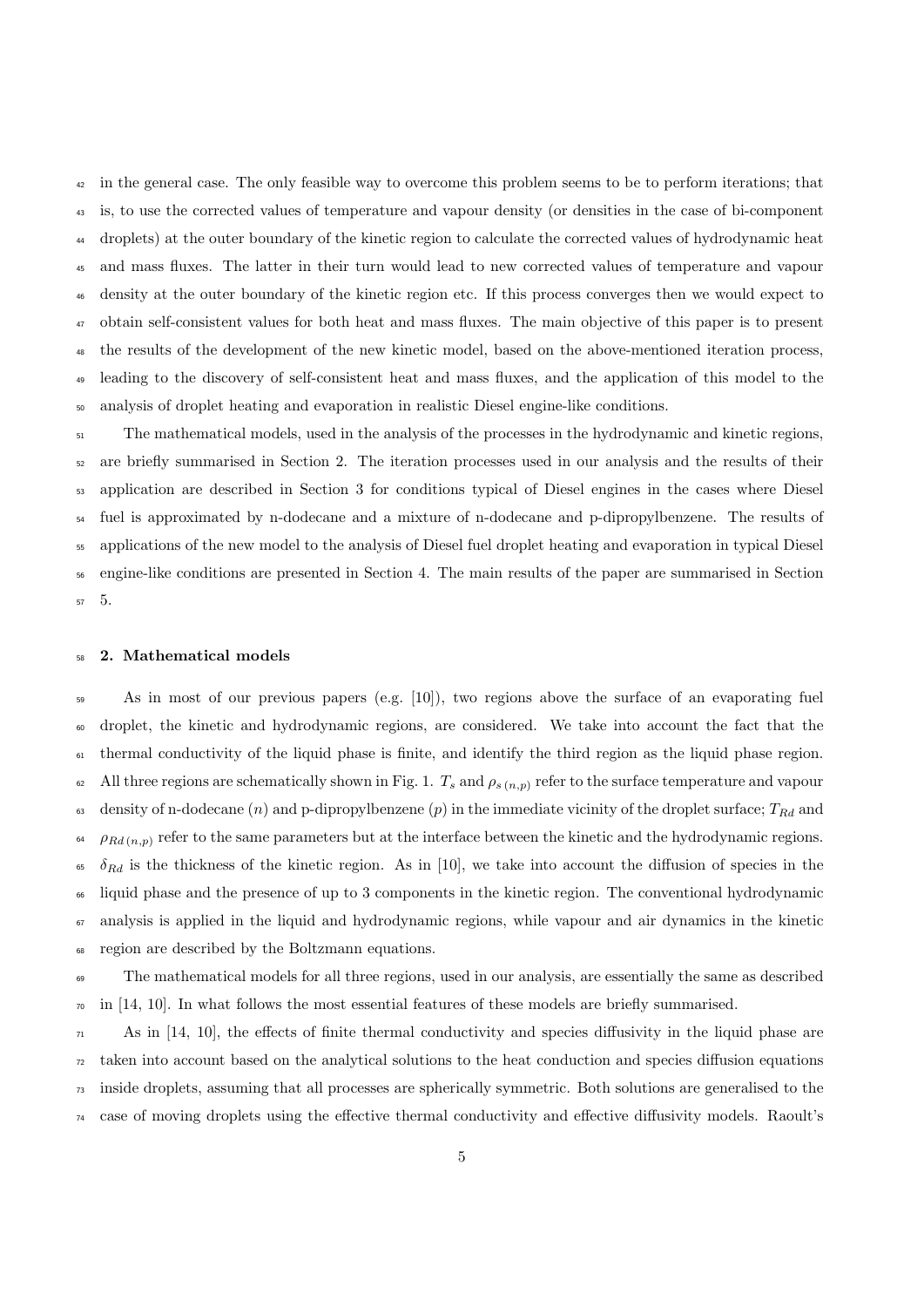<sup>42</sup> in the general case. The only feasible way to overcome this problem seems to be to perform iterations; that is, to use the corrected values of temperature and vapour density (or densities in the case of bi-component droplets) at the outer boundary of the kinetic region to calculate the corrected values of hydrodynamic heat and mass fluxes. The latter in their turn would lead to new corrected values of temperature and vapour density at the outer boundary of the kinetic region etc. If this process converges then we would expect to obtain self-consistent values for both heat and mass fluxes. The main objective of this paper is to present the results of the development of the new kinetic model, based on the above-mentioned iteration process, leading to the discovery of self-consistent heat and mass fluxes, and the application of this model to the analysis of droplet heating and evaporation in realistic Diesel engine-like conditions.

<sup>51</sup> The mathematical models, used in the analysis of the processes in the hydrodynamic and kinetic regions, are briefly summarised in Section 2. The iteration processes used in our analysis and the results of their application are described in Section 3 for conditions typical of Diesel engines in the cases where Diesel fuel is approximated by n-dodecane and a mixture of n-dodecane and p-dipropylbenzene. The results of applications of the new model to the analysis of Diesel fuel droplet heating and evaporation in typical Diesel engine-like conditions are presented in Section 4. The main results of the paper are summarised in Section 5.

#### 2. Mathematical models

 As in most of our previous papers (e.g. [10]), two regions above the surface of an evaporating fuel droplet, the kinetic and hydrodynamic regions, are considered. We take into account the fact that the thermal conductivity of the liquid phase is finite, and identify the third region as the liquid phase region. 62 All three regions are schematically shown in Fig. 1.  $T_s$  and  $\rho_{s(n,p)}$  refer to the surface temperature and vapour 63 density of n-dodecane (n) and p-dipropylbenzene (p) in the immediate vicinity of the droplet surface;  $T_{Rd}$  and  $\rho_{Rd(n,p)}$  refer to the same parameters but at the interface between the kinetic and the hydrodynamic regions. <sup>65</sup>  $\delta_{Rd}$  is the thickness of the kinetic region. As in [10], we take into account the diffusion of species in the liquid phase and the presence of up to 3 components in the kinetic region. The conventional hydrodynamic analysis is applied in the liquid and hydrodynamic regions, while vapour and air dynamics in the kinetic region are described by the Boltzmann equations.

 The mathematical models for all three regions, used in our analysis, are essentially the same as described  $\overline{p}$  in [14, 10]. In what follows the most essential features of these models are briefly summarised.

 $\pi$  As in [14, 10], the effects of finite thermal conductivity and species diffusivity in the liquid phase are taken into account based on the analytical solutions to the heat conduction and species diffusion equations inside droplets, assuming that all processes are spherically symmetric. Both solutions are generalised to the case of moving droplets using the effective thermal conductivity and effective diffusivity models. Raoult's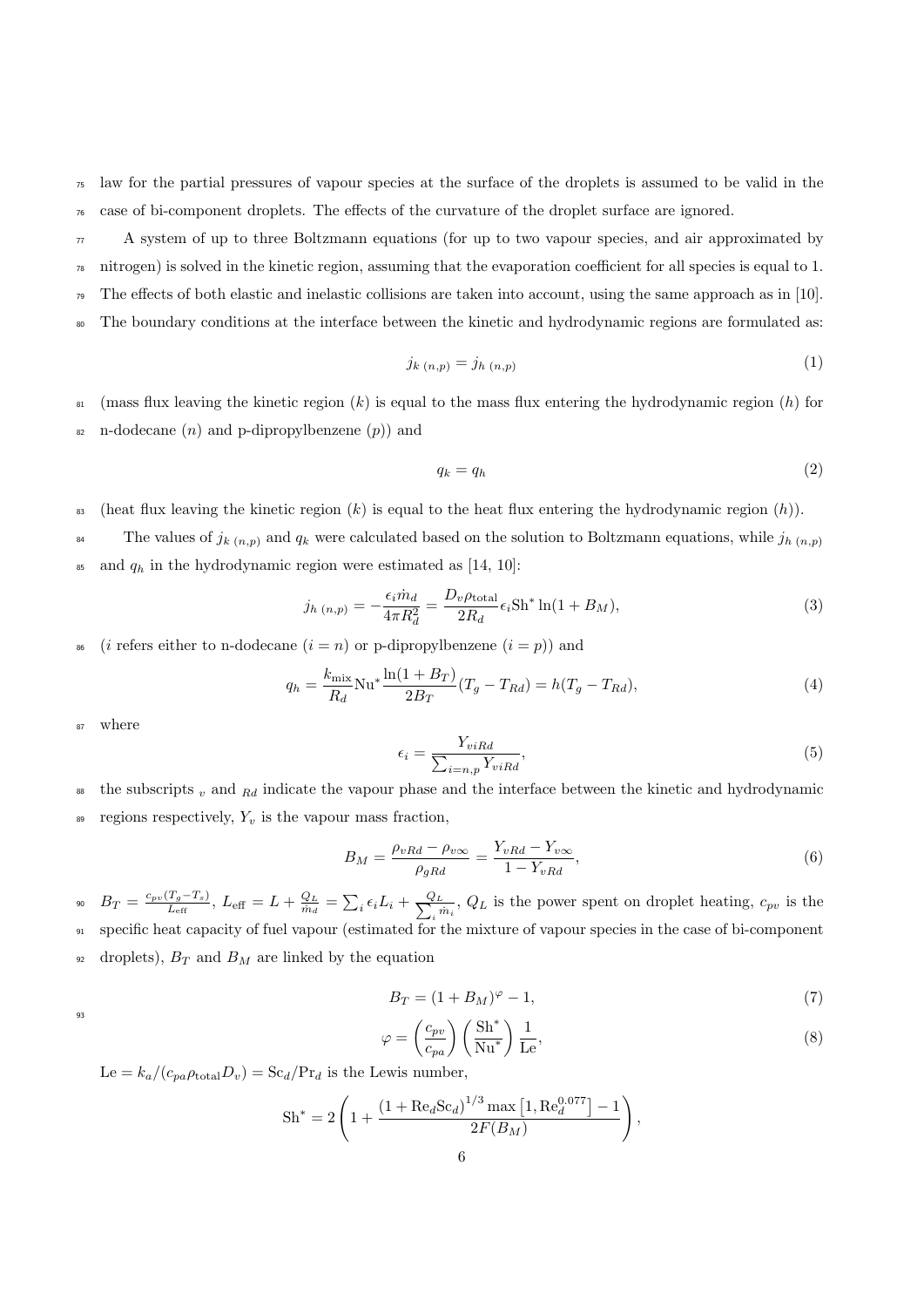<sup>75</sup> law for the partial pressures of vapour species at the surface of the droplets is assumed to be valid in the <sup>76</sup> case of bi-component droplets. The effects of the curvature of the droplet surface are ignored.

 $77$  A system of up to three Boltzmann equations (for up to two vapour species, and air approximated by  $\eta$ <sup>8</sup> nitrogen) is solved in the kinetic region, assuming that the evaporation coefficient for all species is equal to 1. <sup>79</sup> The effects of both elastic and inelastic collisions are taken into account, using the same approach as in [10].

<sup>80</sup> The boundary conditions at the interface between the kinetic and hydrodynamic regions are formulated as:

$$
j_{k(n,p)} = j_{h(n,p)} \tag{1}
$$

 $\mathbf{B}$  (mass flux leaving the kinetic region  $(k)$  is equal to the mass flux entering the hydrodynamic region  $(h)$  for  $\alpha$  n-dodecane  $(n)$  and p-dipropylbenzene  $(p)$  and

$$
q_k = q_h \tag{2}
$$

<sup>83</sup> (heat flux leaving the kinetic region  $(k)$  is equal to the heat flux entering the hydrodynamic region  $(h)$ ).

The values of  $j_{k(n,p)}$  and  $q_k$  were calculated based on the solution to Boltzmann equations, while  $j_{h(n,p)}$ 84  $\delta$ <sup>85</sup> and  $q_h$  in the hydrodynamic region were estimated as [14, 10]:

$$
j_{h(n,p)} = -\frac{\epsilon_i \dot{m}_d}{4\pi R_d^2} = \frac{D_v \rho_{\text{total}}}{2R_d} \epsilon_i \text{Sh}^* \ln(1 + B_M),\tag{3}
$$

<sup>86</sup> (*i* refers either to n-dodecane  $(i = n)$  or p-dipropylbenzene  $(i = p)$ ) and

$$
q_h = \frac{k_{\text{mix}}}{R_d} \text{Nu}^* \frac{\ln(1 + B_T)}{2B_T} (T_g - T_{Rd}) = h(T_g - T_{Rd}),\tag{4}
$$

<sup>87</sup> where

$$
\epsilon_i = \frac{Y_{viRd}}{\sum_{i=n,p} Y_{viRd}},\tag{5}
$$

<sup>88</sup> the subscripts  $_v$  and  $_{Rd}$  indicate the vapour phase and the interface between the kinetic and hydrodynamic

 $\mathcal{B}$  regions respectively,  $Y_v$  is the vapour mass fraction,

$$
B_M = \frac{\rho_{vRd} - \rho_{v\infty}}{\rho_{gRd}} = \frac{Y_{vRd} - Y_{v\infty}}{1 - Y_{vRd}},\tag{6}
$$

 $B_T = \frac{c_{pv}(T_g - T_s)}{L_{eff}}$  $\frac{(T_g-T_s)}{L_{\rm eff}},\ L_{\rm eff}=L+\frac{Q_L}{\dot{m}_d}=\sum_i\epsilon_iL_i+\frac{Q_L}{\sum_i r_i}$ <sup>90</sup>  $B_T = \frac{c_{pv}(I_g - I_s)}{L_{\text{eff}}}$ ,  $L_{\text{eff}} = L + \frac{Q_L}{m_d} = \sum_i \epsilon_i L_i + \frac{Q_L}{\sum_i m_i}$ ,  $Q_L$  is the power spent on droplet heating,  $c_{pv}$  is the 91 specific heat capacity of fuel vapour (estimated for the mixture of vapour species in the case of bi-component  $\alpha$  droplets),  $B_T$  and  $B_M$  are linked by the equation

$$
B_T = (1 + B_M)^{\varphi} - 1,\tag{7}
$$

93

$$
\varphi = \left(\frac{c_{pv}}{c_{pa}}\right) \left(\frac{\text{Sh}^*}{\text{Nu}^*}\right) \frac{1}{\text{Le}},\tag{8}
$$

 $\text{Le} = k_a / (c_{pa} \rho_{\text{total}} D_v) = \text{Sc}_d / \text{Pr}_d$  is the Lewis number,

$$
Sh^* = 2\left(1 + \frac{\left(1 + \text{Re}_d\text{Sc}_d\right)^{1/3}\text{max}\left[1, \text{Re}_d^{0.077}\right] - 1}{2F(B_M)}\right),\,
$$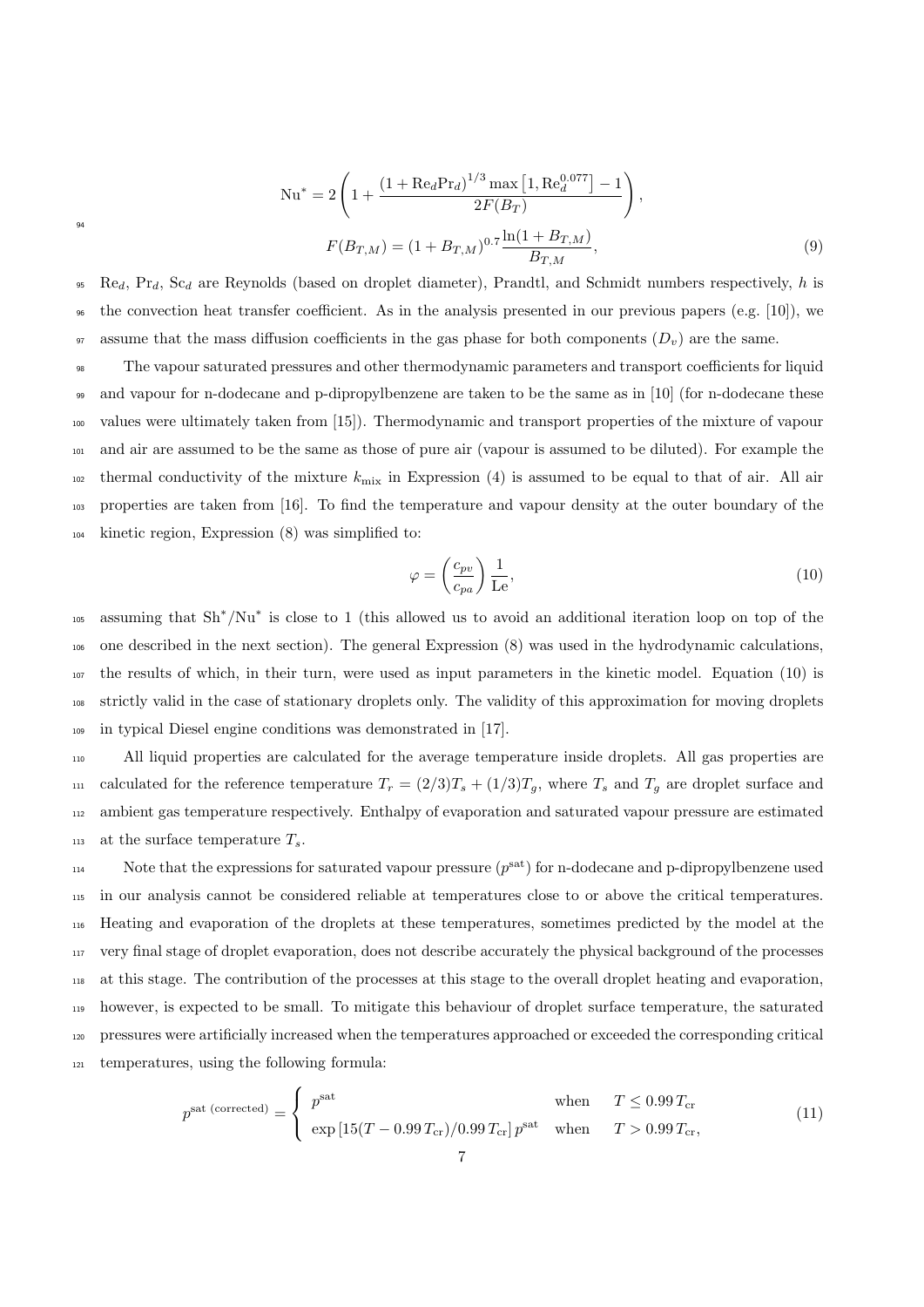$$
Nu^* = 2\left(1 + \frac{\left(1 + \text{Re}_d\text{Pr}_d\right)^{1/3}\max\left[1, \text{Re}_d^{0.077}\right] - 1}{2F(B_T)}\right),
$$

$$
F(B_{T,M}) = (1 + B_{T,M})^{0.7} \frac{\ln(1 + B_{T,M})}{B_{T,M}},
$$
(9)

94

 $P_{\text{eq}}$ ,  $P_{\text{eq}}$ ,  $S_{\text{cd}}$  are Reynolds (based on droplet diameter), Prandtl, and Schmidt numbers respectively, h is  $\epsilon_{96}$  the convection heat transfer coefficient. As in the analysis presented in our previous papers (e.g. [10]), we 97 assume that the mass diffusion coefficients in the gas phase for both components  $(D_v)$  are the same.

 The vapour saturated pressures and other thermodynamic parameters and transport coefficients for liquid and vapour for n-dodecane and p-dipropylbenzene are taken to be the same as in [10] (for n-dodecane these values were ultimately taken from [15]). Thermodynamic and transport properties of the mixture of vapour and air are assumed to be the same as those of pure air (vapour is assumed to be diluted). For example the 102 thermal conductivity of the mixture  $k_{\text{mix}}$  in Expression (4) is assumed to be equal to that of air. All air properties are taken from [16]. To find the temperature and vapour density at the outer boundary of the kinetic region, Expression (8) was simplified to:

$$
\varphi = \left(\frac{c_{pv}}{c_{pa}}\right) \frac{1}{\text{Le}},\tag{10}
$$

<sup>105</sup> assuming that Sh<sup>\*</sup>/Nu<sup>∗</sup> is close to 1 (this allowed us to avoid an additional iteration loop on top of the one described in the next section). The general Expression (8) was used in the hydrodynamic calculations, the results of which, in their turn, were used as input parameters in the kinetic model. Equation (10) is strictly valid in the case of stationary droplets only. The validity of this approximation for moving droplets in typical Diesel engine conditions was demonstrated in [17].

<sup>110</sup> All liquid properties are calculated for the average temperature inside droplets. All gas properties are 111 calculated for the reference temperature  $T_r = (2/3)T_s + (1/3)T_g$ , where  $T_s$  and  $T_g$  are droplet surface and <sup>112</sup> ambient gas temperature respectively. Enthalpy of evaporation and saturated vapour pressure are estimated 113 at the surface temperature  $T_s$ .

114 Note that the expressions for saturated vapour pressure  $(p^{sat})$  for n-dodecane and p-dipropylbenzene used in our analysis cannot be considered reliable at temperatures close to or above the critical temperatures. Heating and evaporation of the droplets at these temperatures, sometimes predicted by the model at the very final stage of droplet evaporation, does not describe accurately the physical background of the processes at this stage. The contribution of the processes at this stage to the overall droplet heating and evaporation, however, is expected to be small. To mitigate this behaviour of droplet surface temperature, the saturated pressures were artificially increased when the temperatures approached or exceeded the corresponding critical temperatures, using the following formula:

$$
p^{\text{sat (corrected)}} = \begin{cases} p^{\text{sat}} & \text{when} \quad T \leq 0.99 T_{\text{cr}} \\ \exp\left[15(T - 0.99 T_{\text{cr}})/0.99 T_{\text{cr}}\right] p^{\text{sat}} & \text{when} \quad T > 0.99 T_{\text{cr}}, \end{cases} \tag{11}
$$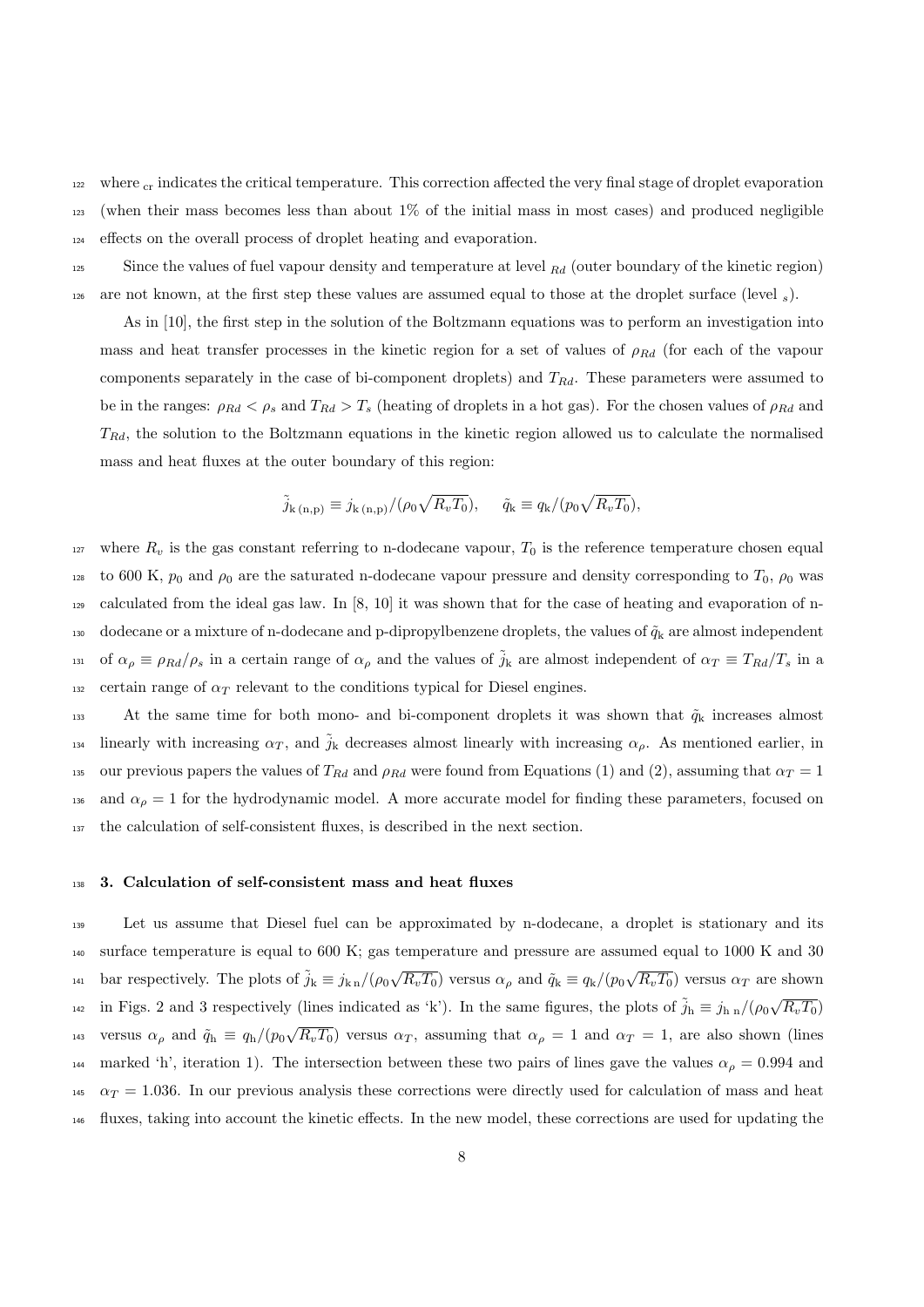$122$  where  $cr$  indicates the critical temperature. This correction affected the very final stage of droplet evaporation <sup>123</sup> (when their mass becomes less than about 1% of the initial mass in most cases) and produced negligible <sup>124</sup> effects on the overall process of droplet heating and evaporation.

125 Since the values of fuel vapour density and temperature at level  $_{Rd}$  (outer boundary of the kinetic region) <sup>126</sup> are not known, at the first step these values are assumed equal to those at the droplet surface (level <sup>s</sup>).

As in [10], the first step in the solution of the Boltzmann equations was to perform an investigation into mass and heat transfer processes in the kinetic region for a set of values of  $\rho_{Rd}$  (for each of the vapour components separately in the case of bi-component droplets) and  $T_{Rd}$ . These parameters were assumed to be in the ranges:  $\rho_{Rd} < \rho_s$  and  $T_{Rd} > T_s$  (heating of droplets in a hot gas). For the chosen values of  $\rho_{Rd}$  and  $T_{Rd}$ , the solution to the Boltzmann equations in the kinetic region allowed us to calculate the normalised mass and heat fluxes at the outer boundary of this region:

$$
\tilde{j}_{k(n,p)} \equiv j_{k(n,p)}/(\rho_0 \sqrt{R_v T_0}), \quad \tilde{q}_k \equiv q_k/(p_0 \sqrt{R_v T_0}),
$$

 $127$  where  $R_v$  is the gas constant referring to n-dodecane vapour,  $T_0$  is the reference temperature chosen equal 128 to 600 K,  $p_0$  and  $\rho_0$  are the saturated n-dodecane vapour pressure and density corresponding to  $T_0$ ,  $\rho_0$  was <sup>129</sup> calculated from the ideal gas law. In [8, 10] it was shown that for the case of heating and evaporation of n-130 dodecane or a mixture of n-dodecane and p-dipropylbenzene droplets, the values of  $\tilde{q}_k$  are almost independent <sup>131</sup> of  $\alpha_\rho \equiv \rho_{Rd}/\rho_s$  in a certain range of  $\alpha_\rho$  and the values of  $\tilde{j}_k$  are almost independent of  $\alpha_T \equiv T_{Rd}/T_s$  in a 132 certain range of  $\alpha_T$  relevant to the conditions typical for Diesel engines.

133 At the same time for both mono- and bi-component droplets it was shown that  $\tilde{q}_k$  increases almost 134 linearly with increasing  $\alpha_T$ , and  $\tilde{j}_k$  decreases almost linearly with increasing  $\alpha_\rho$ . As mentioned earlier, in 135 our previous papers the values of  $T_{Rd}$  and  $\rho_{Rd}$  were found from Equations (1) and (2), assuming that  $\alpha_T = 1$ 136 and  $\alpha_{\rho} = 1$  for the hydrodynamic model. A more accurate model for finding these parameters, focused on <sup>137</sup> the calculation of self-consistent fluxes, is described in the next section.

#### <sup>138</sup> 3. Calculation of self-consistent mass and heat fluxes

<sup>139</sup> Let us assume that Diesel fuel can be approximated by n-dodecane, a droplet is stationary and its <sup>140</sup> surface temperature is equal to 600 K; gas temperature and pressure are assumed equal to 1000 K and 30 <sup>141</sup> bar respectively. The plots of  $\tilde{j}_k \equiv j_{k n}/(\rho_0 \sqrt{R_v T_0})$  versus  $\alpha_\rho$  and  $\tilde{q}_k \equiv q_k/(p_0 \sqrt{R_v T_0})$  versus  $\alpha_T$  are shown <sup>142</sup> in Figs. 2 and 3 respectively (lines indicated as 'k'). In the same figures, the plots of  $\tilde{j}_h \equiv j_{h n}/(\rho_0 \sqrt{R_v T_0})$ versus  $\alpha_{\rho}$  and  $\tilde{q}_{h} \equiv q_{h}/(p_{0}\sqrt{R_{v}T_{0}})$  versus  $\alpha_{T}$ , assuming that  $\alpha_{\rho} = 1$  and  $\alpha_{T} = 1$ , are also shown (lines 144 marked 'h', iteration 1). The intersection between these two pairs of lines gave the values  $\alpha_{\rho} = 0.994$  and  $\alpha_T = 1.036$ . In our previous analysis these corrections were directly used for calculation of mass and heat <sup>146</sup> fluxes, taking into account the kinetic effects. In the new model, these corrections are used for updating the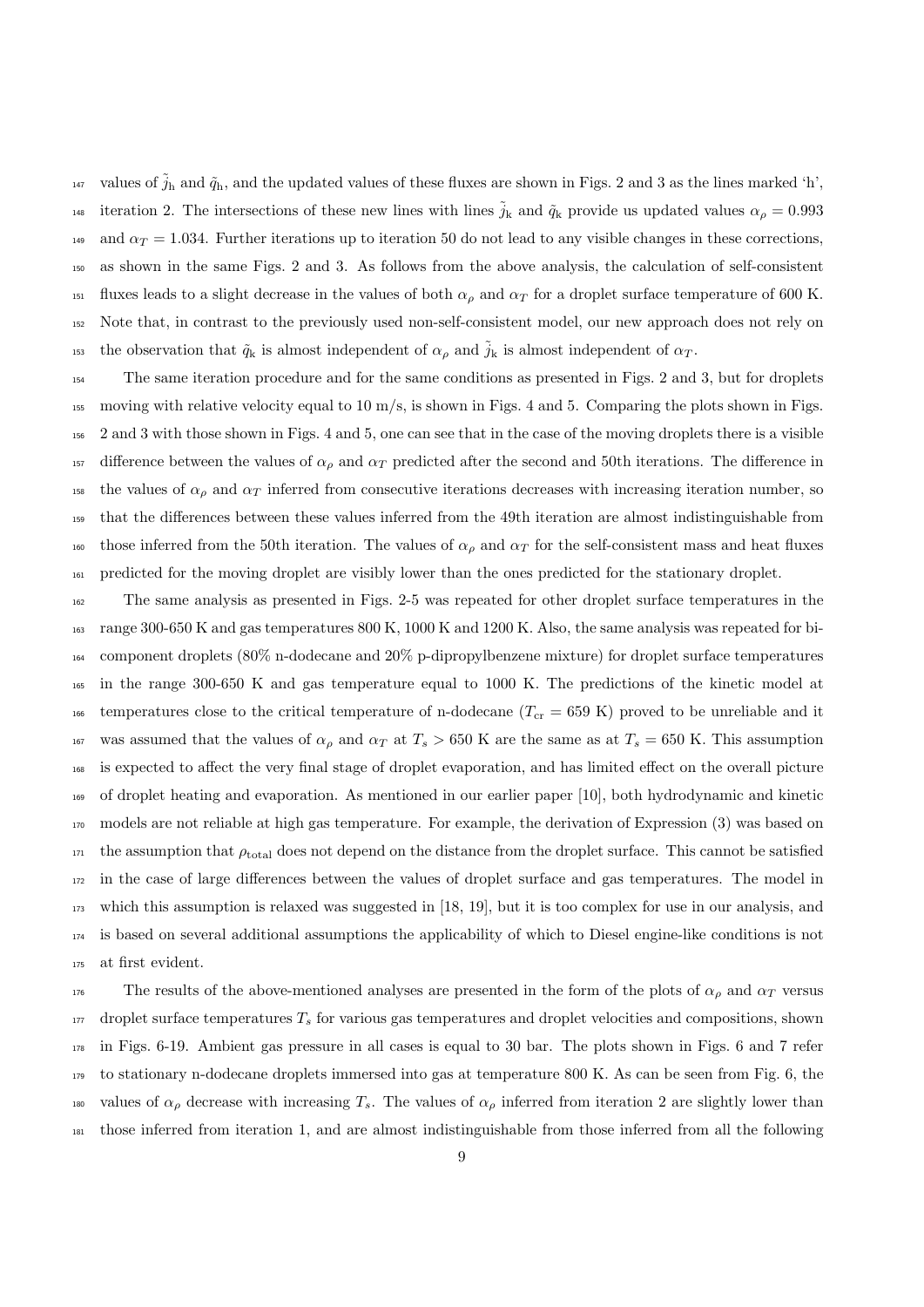<sup>147</sup> values of  $\tilde{j}_h$  and  $\tilde{q}_h$ , and the updated values of these fluxes are shown in Figs. 2 and 3 as the lines marked 'h', 148 iteration 2. The intersections of these new lines with lines  $\tilde{j}_k$  and  $\tilde{q}_k$  provide us updated values  $\alpha_\rho = 0.993$ <sup>149</sup> and  $\alpha_T = 1.034$ . Further iterations up to iteration 50 do not lead to any visible changes in these corrections, as shown in the same Figs. 2 and 3. As follows from the above analysis, the calculation of self-consistent <sup>151</sup> fluxes leads to a slight decrease in the values of both  $\alpha_\rho$  and  $\alpha_T$  for a droplet surface temperature of 600 K. Note that, in contrast to the previously used non-self-consistent model, our new approach does not rely on <sup>153</sup> the observation that  $\tilde{q}_k$  is almost independent of  $\alpha_\rho$  and  $\tilde{j}_k$  is almost independent of  $\alpha_T$ .

 The same iteration procedure and for the same conditions as presented in Figs. 2 and 3, but for droplets 155 moving with relative velocity equal to  $10 \text{ m/s}$ , is shown in Figs. 4 and 5. Comparing the plots shown in Figs. 2 and 3 with those shown in Figs. 4 and 5, one can see that in the case of the moving droplets there is a visible 157 difference between the values of  $\alpha_\rho$  and  $\alpha_T$  predicted after the second and 50th iterations. The difference in 158 the values of  $\alpha_{\rho}$  and  $\alpha_{T}$  inferred from consecutive iterations decreases with increasing iteration number, so that the differences between these values inferred from the 49th iteration are almost indistinguishable from 160 those inferred from the 50th iteration. The values of  $\alpha_{\rho}$  and  $\alpha_{T}$  for the self-consistent mass and heat fluxes predicted for the moving droplet are visibly lower than the ones predicted for the stationary droplet.

 The same analysis as presented in Figs. 2-5 was repeated for other droplet surface temperatures in the range 300-650 K and gas temperatures 800 K, 1000 K and 1200 K. Also, the same analysis was repeated for bi- component droplets (80% n-dodecane and 20% p-dipropylbenzene mixture) for droplet surface temperatures in the range 300-650 K and gas temperature equal to 1000 K. The predictions of the kinetic model at <sup>166</sup> temperatures close to the critical temperature of n-dodecane  $(T_{cr} = 659 \text{ K})$  proved to be unreliable and it 167 was assumed that the values of  $\alpha_{\rho}$  and  $\alpha_{T}$  at  $T_{s} > 650$  K are the same as at  $T_{s} = 650$  K. This assumption is expected to affect the very final stage of droplet evaporation, and has limited effect on the overall picture of droplet heating and evaporation. As mentioned in our earlier paper [10], both hydrodynamic and kinetic models are not reliable at high gas temperature. For example, the derivation of Expression (3) was based on the assumption that  $\rho_{\text{total}}$  does not depend on the distance from the droplet surface. This cannot be satisfied in the case of large differences between the values of droplet surface and gas temperatures. The model in which this assumption is relaxed was suggested in [18, 19], but it is too complex for use in our analysis, and is based on several additional assumptions the applicability of which to Diesel engine-like conditions is not at first evident.

176 The results of the above-mentioned analyses are presented in the form of the plots of  $\alpha_{\rho}$  and  $\alpha_{T}$  versus droplet surface temperatures  $T_s$  for various gas temperatures and droplet velocities and compositions, shown in Figs. 6-19. Ambient gas pressure in all cases is equal to 30 bar. The plots shown in Figs. 6 and 7 refer to stationary n-dodecane droplets immersed into gas at temperature 800 K. As can be seen from Fig. 6, the 180 values of  $\alpha_\rho$  decrease with increasing  $T_s$ . The values of  $\alpha_\rho$  inferred from iteration 2 are slightly lower than those inferred from iteration 1, and are almost indistinguishable from those inferred from all the following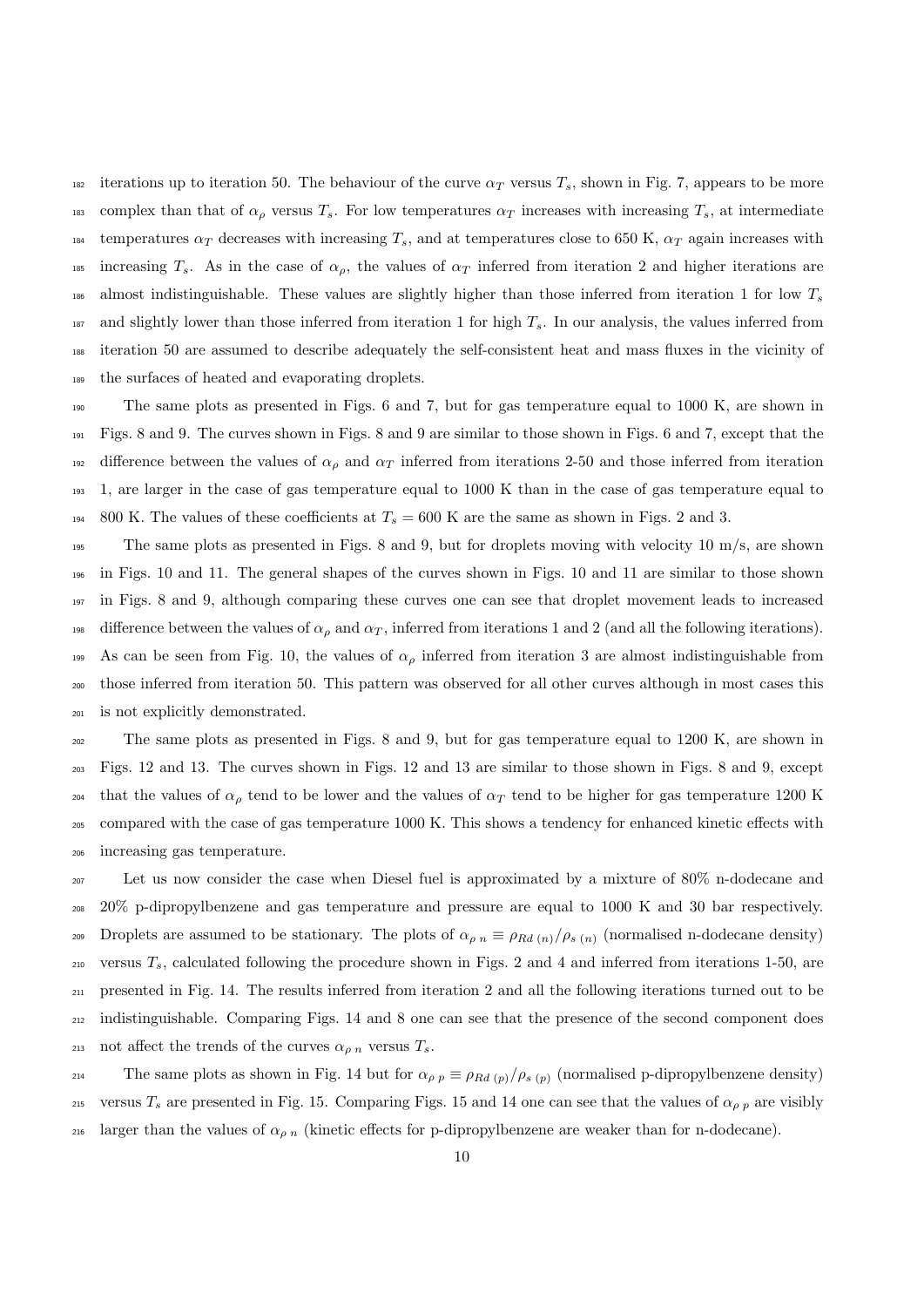182 iterations up to iteration 50. The behaviour of the curve  $\alpha_T$  versus  $T_s$ , shown in Fig. 7, appears to be more 183 complex than that of  $\alpha_\rho$  versus  $T_s$ . For low temperatures  $\alpha_T$  increases with increasing  $T_s$ , at intermediate 184 temperatures  $\alpha_T$  decreases with increasing  $T_s$ , and at temperatures close to 650 K,  $\alpha_T$  again increases with 185 increasing  $T_s$ . As in the case of  $\alpha_p$ , the values of  $\alpha_T$  inferred from iteration 2 and higher iterations are  $_{186}$  almost indistinguishable. These values are slightly higher than those inferred from iteration 1 for low  $T_s$  $187$  and slightly lower than those inferred from iteration 1 for high  $T_s$ . In our analysis, the values inferred from <sup>188</sup> iteration 50 are assumed to describe adequately the self-consistent heat and mass fluxes in the vicinity of <sup>189</sup> the surfaces of heated and evaporating droplets.

<sup>190</sup> The same plots as presented in Figs. 6 and 7, but for gas temperature equal to 1000 K, are shown in <sup>191</sup> Figs. 8 and 9. The curves shown in Figs. 8 and 9 are similar to those shown in Figs. 6 and 7, except that the 192 difference between the values of  $\alpha_p$  and  $\alpha_T$  inferred from iterations 2-50 and those inferred from iteration <sup>193</sup> 1, are larger in the case of gas temperature equal to 1000 K than in the case of gas temperature equal to <sup>194</sup> 800 K. The values of these coefficients at  $T_s = 600$  K are the same as shown in Figs. 2 and 3.

 The same plots as presented in Figs. 8 and 9, but for droplets moving with velocity 10 m/s, are shown in Figs. 10 and 11. The general shapes of the curves shown in Figs. 10 and 11 are similar to those shown in Figs. 8 and 9, although comparing these curves one can see that droplet movement leads to increased 198 difference between the values of  $\alpha_{\rho}$  and  $\alpha_{T}$ , inferred from iterations 1 and 2 (and all the following iterations). 199 As can be seen from Fig. 10, the values of  $\alpha_{\rho}$  inferred from iteration 3 are almost indistinguishable from those inferred from iteration 50. This pattern was observed for all other curves although in most cases this is not explicitly demonstrated.

 The same plots as presented in Figs. 8 and 9, but for gas temperature equal to 1200 K, are shown in Figs. 12 and 13. The curves shown in Figs. 12 and 13 are similar to those shown in Figs. 8 and 9, except <sup>204</sup> that the values of  $\alpha_\rho$  tend to be lower and the values of  $\alpha_T$  tend to be higher for gas temperature 1200 K compared with the case of gas temperature 1000 K. This shows a tendency for enhanced kinetic effects with increasing gas temperature.

<sup>207</sup> Let us now consider the case when Diesel fuel is approximated by a mixture of 80% n-dodecane and <sup>208</sup> 20% p-dipropylbenzene and gas temperature and pressure are equal to 1000 K and 30 bar respectively. 209 Droplets are assumed to be stationary. The plots of  $\alpha_{\rho n} \equiv \rho_{Rd(n)}/\rho_{s(n)}$  (normalised n-dodecane density)  $_{210}$  versus  $T_s$ , calculated following the procedure shown in Figs. 2 and 4 and inferred from iterations 1-50, are <sup>211</sup> presented in Fig. 14. The results inferred from iteration 2 and all the following iterations turned out to be <sup>212</sup> indistinguishable. Comparing Figs. 14 and 8 one can see that the presence of the second component does 213 not affect the trends of the curves  $\alpha_{\rho n}$  versus  $T_s$ .

214 The same plots as shown in Fig. 14 but for  $\alpha_{\rho p} \equiv \rho_{Rd(p)}/\rho_{s(p)}$  (normalised p-dipropylbenzene density) 215 versus T<sub>s</sub> are presented in Fig. 15. Comparing Figs. 15 and 14 one can see that the values of  $\alpha_{\rho p}$  are visibly 216 larger than the values of  $\alpha_{\rho n}$  (kinetic effects for p-dipropylbenzene are weaker than for n-dodecane).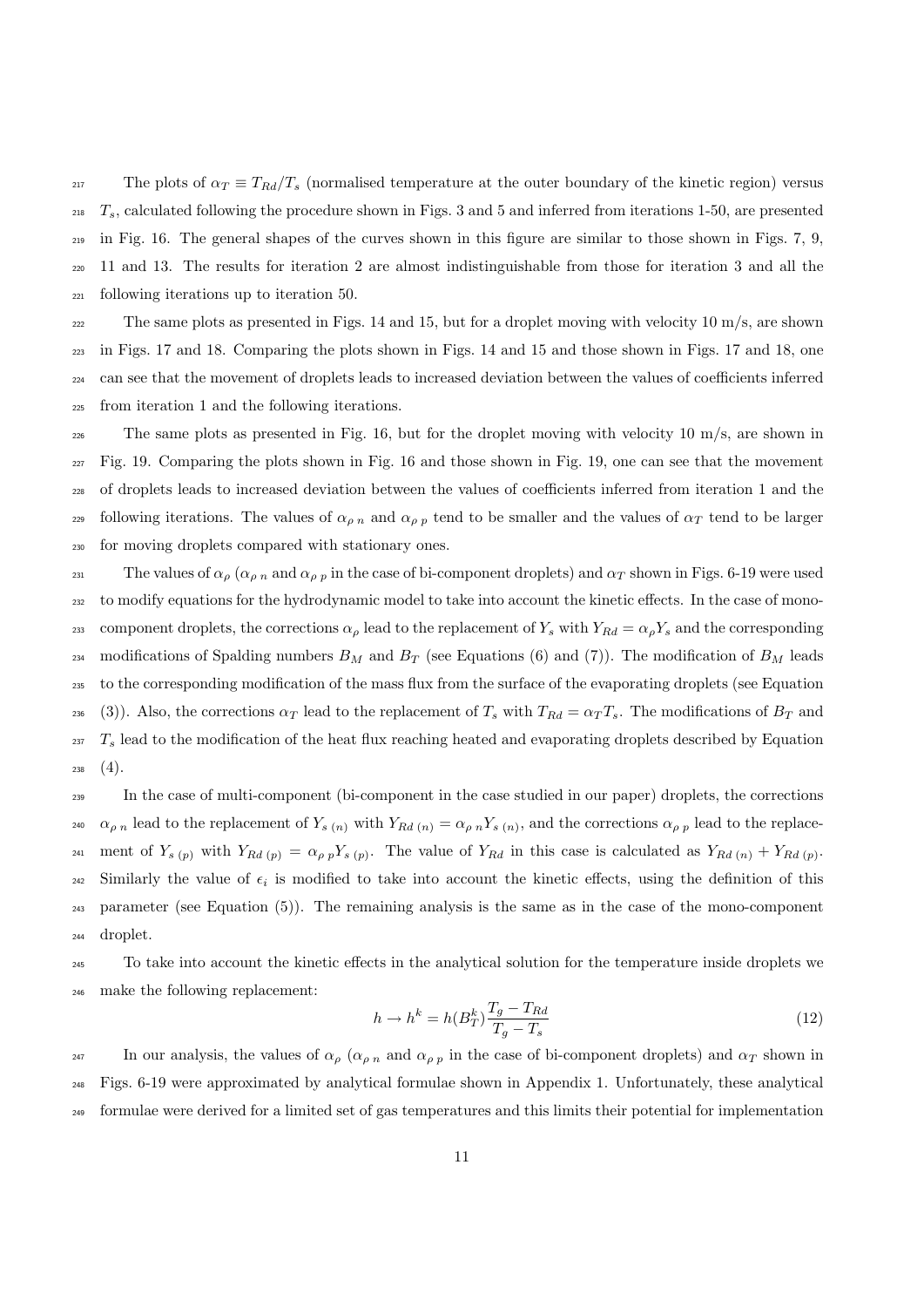217 The plots of  $\alpha_T \equiv T_{Rd}/T_s$  (normalised temperature at the outer boundary of the kinetic region) versus  $T_s$ , calculated following the procedure shown in Figs. 3 and 5 and inferred from iterations 1-50, are presented <sup>219</sup> in Fig. 16. The general shapes of the curves shown in this figure are similar to those shown in Figs. 7, 9, <sup>220</sup> 11 and 13. The results for iteration 2 are almost indistinguishable from those for iteration 3 and all the <sup>221</sup> following iterations up to iteration 50.

222 The same plots as presented in Figs. 14 and 15, but for a droplet moving with velocity 10  $m/s$ , are shown in Figs. 17 and 18. Comparing the plots shown in Figs. 14 and 15 and those shown in Figs. 17 and 18, one can see that the movement of droplets leads to increased deviation between the values of coefficients inferred from iteration 1 and the following iterations.

 The same plots as presented in Fig. 16, but for the droplet moving with velocity 10 m/s, are shown in Fig. 19. Comparing the plots shown in Fig. 16 and those shown in Fig. 19, one can see that the movement of droplets leads to increased deviation between the values of coefficients inferred from iteration 1 and the 229 following iterations. The values of  $\alpha_{p,n}$  and  $\alpha_{p,n}$  tend to be smaller and the values of  $\alpha_T$  tend to be larger for moving droplets compared with stationary ones.

231 The values of  $\alpha_{\rho}$  ( $\alpha_{\rho}$  n and  $\alpha_{\rho}$  in the case of bi-component droplets) and  $\alpha_T$  shown in Figs. 6-19 were used <sup>232</sup> to modify equations for the hydrodynamic model to take into account the kinetic effects. In the case of mono-233 component droplets, the corrections  $\alpha_\rho$  lead to the replacement of  $Y_s$  with  $Y_{Rd} = \alpha_\rho Y_s$  and the corresponding 234 modifications of Spalding numbers  $B_M$  and  $B_T$  (see Equations (6) and (7)). The modification of  $B_M$  leads <sup>235</sup> to the corresponding modification of the mass flux from the surface of the evaporating droplets (see Equation 236 (3)). Also, the corrections  $\alpha_T$  lead to the replacement of  $T_s$  with  $T_{Rd} = \alpha_T T_s$ . The modifications of  $B_T$  and  $_{237}$   $T_s$  lead to the modification of the heat flux reaching heated and evaporating droplets described by Equation  $238 \quad (4).$ 

<sup>239</sup> In the case of multi-component (bi-component in the case studied in our paper) droplets, the corrections <sup>240</sup>  $\alpha_{\rho,n}$  lead to the replacement of  $Y_{s(n)}$  with  $Y_{Rd(n)} = \alpha_{\rho,n} Y_{s(n)}$ , and the corrections  $\alpha_{\rho,n}$  lead to the replace-241 ment of  $Y_{s(p)}$  with  $Y_{Rd(p)} = \alpha_{\rho p} Y_{s(p)}$ . The value of  $Y_{Rd}$  in this case is calculated as  $Y_{Rd(p)} + Y_{Rd(p)}$ .  $_{242}$  Similarly the value of  $\epsilon_i$  is modified to take into account the kinetic effects, using the definition of this <sup>243</sup> parameter (see Equation (5)). The remaining analysis is the same as in the case of the mono-component <sup>244</sup> droplet.

<sup>245</sup> To take into account the kinetic effects in the analytical solution for the temperature inside droplets we <sup>246</sup> make the following replacement:

$$
h \to h^k = h(B_T^k) \frac{T_g - T_{Rd}}{T_g - T_s} \tag{12}
$$

247 In our analysis, the values of  $\alpha_{\rho}$  ( $\alpha_{\rho}$  n and  $\alpha_{\rho}$  in the case of bi-component droplets) and  $\alpha_T$  shown in <sup>248</sup> Figs. 6-19 were approximated by analytical formulae shown in Appendix 1. Unfortunately, these analytical <sup>249</sup> formulae were derived for a limited set of gas temperatures and this limits their potential for implementation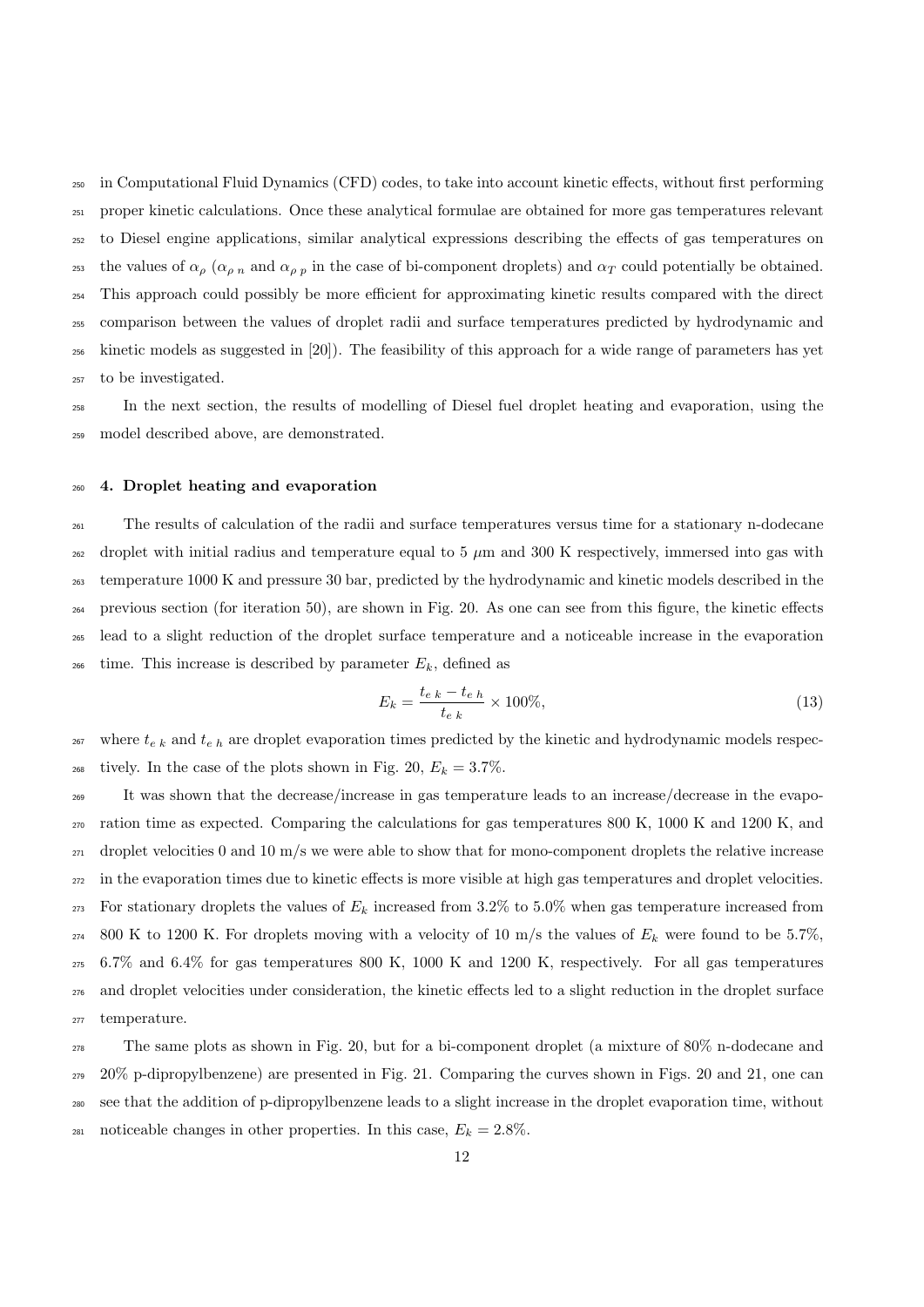in Computational Fluid Dynamics (CFD) codes, to take into account kinetic effects, without first performing proper kinetic calculations. Once these analytical formulae are obtained for more gas temperatures relevant to Diesel engine applications, similar analytical expressions describing the effects of gas temperatures on 253 the values of  $\alpha_{\rho}$  ( $\alpha_{\rho}$  n and  $\alpha_{\rho}$  in the case of bi-component droplets) and  $\alpha_T$  could potentially be obtained. This approach could possibly be more efficient for approximating kinetic results compared with the direct comparison between the values of droplet radii and surface temperatures predicted by hydrodynamic and kinetic models as suggested in [20]). The feasibility of this approach for a wide range of parameters has yet to be investigated.

 In the next section, the results of modelling of Diesel fuel droplet heating and evaporation, using the model described above, are demonstrated.

#### 4. Droplet heating and evaporation

 The results of calculation of the radii and surface temperatures versus time for a stationary n-dodecane droplet with initial radius and temperature equal to 5  $\mu$ m and 300 K respectively, immersed into gas with temperature 1000 K and pressure 30 bar, predicted by the hydrodynamic and kinetic models described in the previous section (for iteration 50), are shown in Fig. 20. As one can see from this figure, the kinetic effects lead to a slight reduction of the droplet surface temperature and a noticeable increase in the evaporation <sup>266</sup> time. This increase is described by parameter  $E_k$ , defined as

$$
E_k = \frac{t_{e\ k} - t_{e\ h}}{t_{e\ k}} \times 100\%,\tag{13}
$$

 where  $t_{e k}$  and  $t_{e h}$  are droplet evaporation times predicted by the kinetic and hydrodynamic models respec-<sup>268</sup> tively. In the case of the plots shown in Fig. 20,  $E_k = 3.7\%$ .

 It was shown that the decrease/increase in gas temperature leads to an increase/decrease in the evapo- ration time as expected. Comparing the calculations for gas temperatures 800 K, 1000 K and 1200 K, and  $_{271}$  droplet velocities 0 and 10 m/s we were able to show that for mono-component droplets the relative increase in the evaporation times due to kinetic effects is more visible at high gas temperatures and droplet velocities. <sup>273</sup> For stationary droplets the values of  $E_k$  increased from 3.2% to 5.0% when gas temperature increased from 274 800 K to 1200 K. For droplets moving with a velocity of 10 m/s the values of  $E_k$  were found to be 5.7%, 6.7% and 6.4% for gas temperatures 800 K, 1000 K and 1200 K, respectively. For all gas temperatures and droplet velocities under consideration, the kinetic effects led to a slight reduction in the droplet surface temperature.

 The same plots as shown in Fig. 20, but for a bi-component droplet (a mixture of 80% n-dodecane and  $29\%$  p-dipropylbenzene) are presented in Fig. 21. Comparing the curves shown in Figs. 20 and 21, one can see that the addition of p-dipropylbenzene leads to a slight increase in the droplet evaporation time, without 281 noticeable changes in other properties. In this case,  $E_k = 2.8\%$ .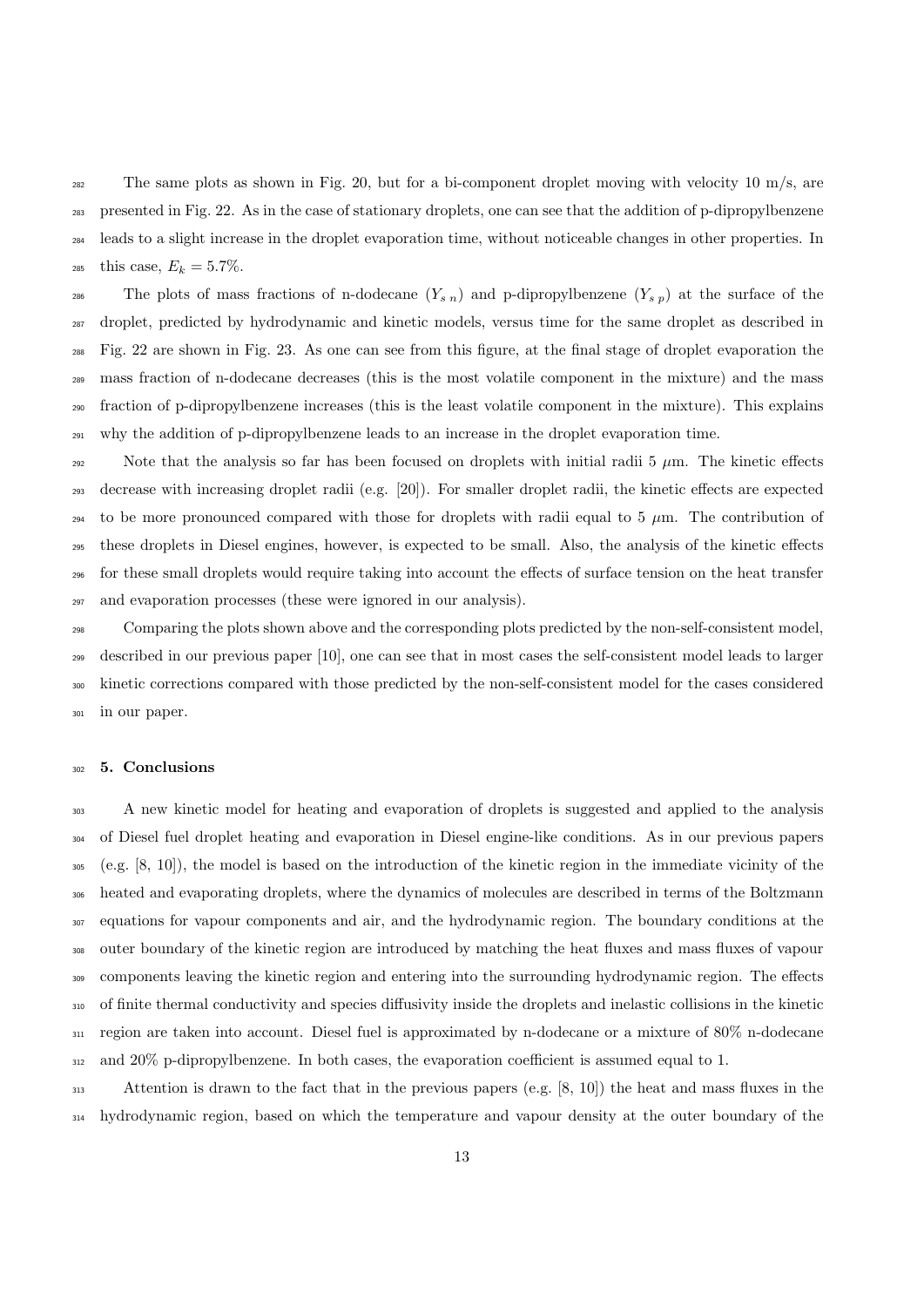The same plots as shown in Fig. 20, but for a bi-component droplet moving with velocity 10 m/s, are presented in Fig. 22. As in the case of stationary droplets, one can see that the addition of p-dipropylbenzene leads to a slight increase in the droplet evaporation time, without noticeable changes in other properties. In <sup>285</sup> this case,  $E_k = 5.7\%.$ 

286 The plots of mass fractions of n-dodecane  $(Y_{s n})$  and p-dipropylbenzene  $(Y_{s p})$  at the surface of the droplet, predicted by hydrodynamic and kinetic models, versus time for the same droplet as described in Fig. 22 are shown in Fig. 23. As one can see from this figure, at the final stage of droplet evaporation the mass fraction of n-dodecane decreases (this is the most volatile component in the mixture) and the mass fraction of p-dipropylbenzene increases (this is the least volatile component in the mixture). This explains why the addition of p-dipropylbenzene leads to an increase in the droplet evaporation time.

292 Note that the analysis so far has been focused on droplets with initial radii 5  $\mu$ m. The kinetic effects decrease with increasing droplet radii (e.g. [20]). For smaller droplet radii, the kinetic effects are expected 294 to be more pronounced compared with those for droplets with radii equal to 5  $\mu$ m. The contribution of these droplets in Diesel engines, however, is expected to be small. Also, the analysis of the kinetic effects for these small droplets would require taking into account the effects of surface tension on the heat transfer and evaporation processes (these were ignored in our analysis).

 Comparing the plots shown above and the corresponding plots predicted by the non-self-consistent model, described in our previous paper [10], one can see that in most cases the self-consistent model leads to larger kinetic corrections compared with those predicted by the non-self-consistent model for the cases considered in our paper.

#### 5. Conclusions

 A new kinetic model for heating and evaporation of droplets is suggested and applied to the analysis of Diesel fuel droplet heating and evaporation in Diesel engine-like conditions. As in our previous papers (e.g. [8, 10]), the model is based on the introduction of the kinetic region in the immediate vicinity of the heated and evaporating droplets, where the dynamics of molecules are described in terms of the Boltzmann equations for vapour components and air, and the hydrodynamic region. The boundary conditions at the outer boundary of the kinetic region are introduced by matching the heat fluxes and mass fluxes of vapour components leaving the kinetic region and entering into the surrounding hydrodynamic region. The effects of finite thermal conductivity and species diffusivity inside the droplets and inelastic collisions in the kinetic region are taken into account. Diesel fuel is approximated by n-dodecane or a mixture of 80% n-dodecane and 20% p-dipropylbenzene. In both cases, the evaporation coefficient is assumed equal to 1.

 Attention is drawn to the fact that in the previous papers (e.g. [8, 10]) the heat and mass fluxes in the hydrodynamic region, based on which the temperature and vapour density at the outer boundary of the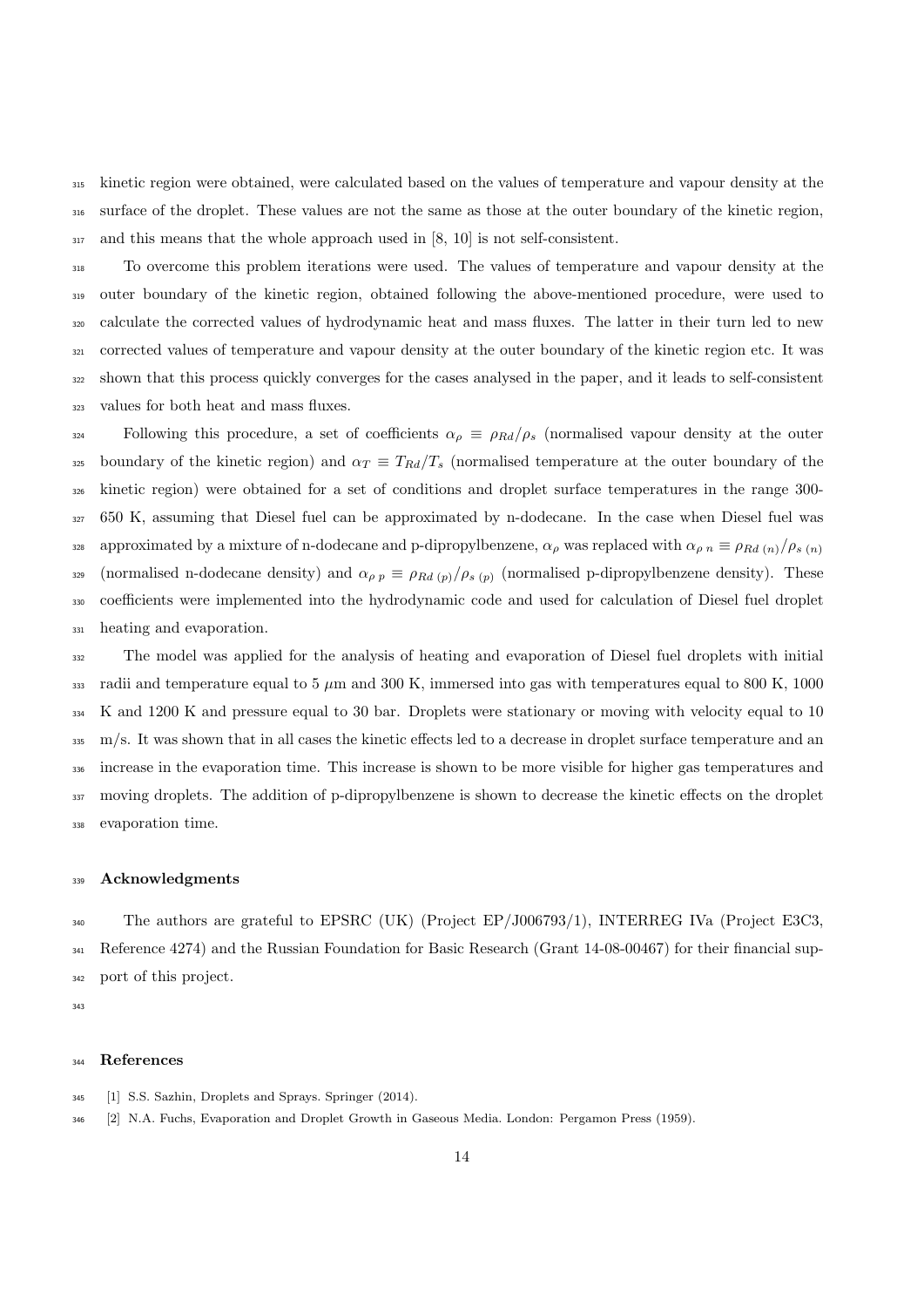kinetic region were obtained, were calculated based on the values of temperature and vapour density at the surface of the droplet. These values are not the same as those at the outer boundary of the kinetic region, and this means that the whole approach used in [8, 10] is not self-consistent.

 To overcome this problem iterations were used. The values of temperature and vapour density at the outer boundary of the kinetic region, obtained following the above-mentioned procedure, were used to calculate the corrected values of hydrodynamic heat and mass fluxes. The latter in their turn led to new corrected values of temperature and vapour density at the outer boundary of the kinetic region etc. It was shown that this process quickly converges for the cases analysed in the paper, and it leads to self-consistent values for both heat and mass fluxes.

324 Following this procedure, a set of coefficients  $\alpha_{\rho} \equiv \rho_{Rd}/\rho_s$  (normalised vapour density at the outer 325 boundary of the kinetic region) and  $\alpha_T \equiv T_{Rd}/T_s$  (normalised temperature at the outer boundary of the kinetic region) were obtained for a set of conditions and droplet surface temperatures in the range 300- 650 K, assuming that Diesel fuel can be approximated by n-dodecane. In the case when Diesel fuel was approximated by a mixture of n-dodecane and p-dipropylbenzene,  $\alpha_{\rho}$  was replaced with  $\alpha_{\rho}$   $\equiv \rho_{Rd}$  (n)/ $\rho_{s}$  (n) 329 (normalised n-dodecane density) and  $\alpha_{\rho p} \equiv \rho_{Rd (p)} / \rho_{s (p)}$  (normalised p-dipropylbenzene density). These coefficients were implemented into the hydrodynamic code and used for calculation of Diesel fuel droplet heating and evaporation.

 The model was applied for the analysis of heating and evaporation of Diesel fuel droplets with initial 333 radii and temperature equal to 5  $\mu$ m and 300 K, immersed into gas with temperatures equal to 800 K, 1000 K and 1200 K and pressure equal to 30 bar. Droplets were stationary or moving with velocity equal to 10 m/s. It was shown that in all cases the kinetic effects led to a decrease in droplet surface temperature and an increase in the evaporation time. This increase is shown to be more visible for higher gas temperatures and moving droplets. The addition of p-dipropylbenzene is shown to decrease the kinetic effects on the droplet evaporation time.

#### Acknowledgments

 The authors are grateful to EPSRC (UK) (Project EP/J006793/1), INTERREG IVa (Project E3C3, Reference 4274) and the Russian Foundation for Basic Research (Grant 14-08-00467) for their financial sup-port of this project.

#### References

- [1] S.S. Sazhin, Droplets and Sprays. Springer (2014).
- [2] N.A. Fuchs, Evaporation and Droplet Growth in Gaseous Media. London: Pergamon Press (1959).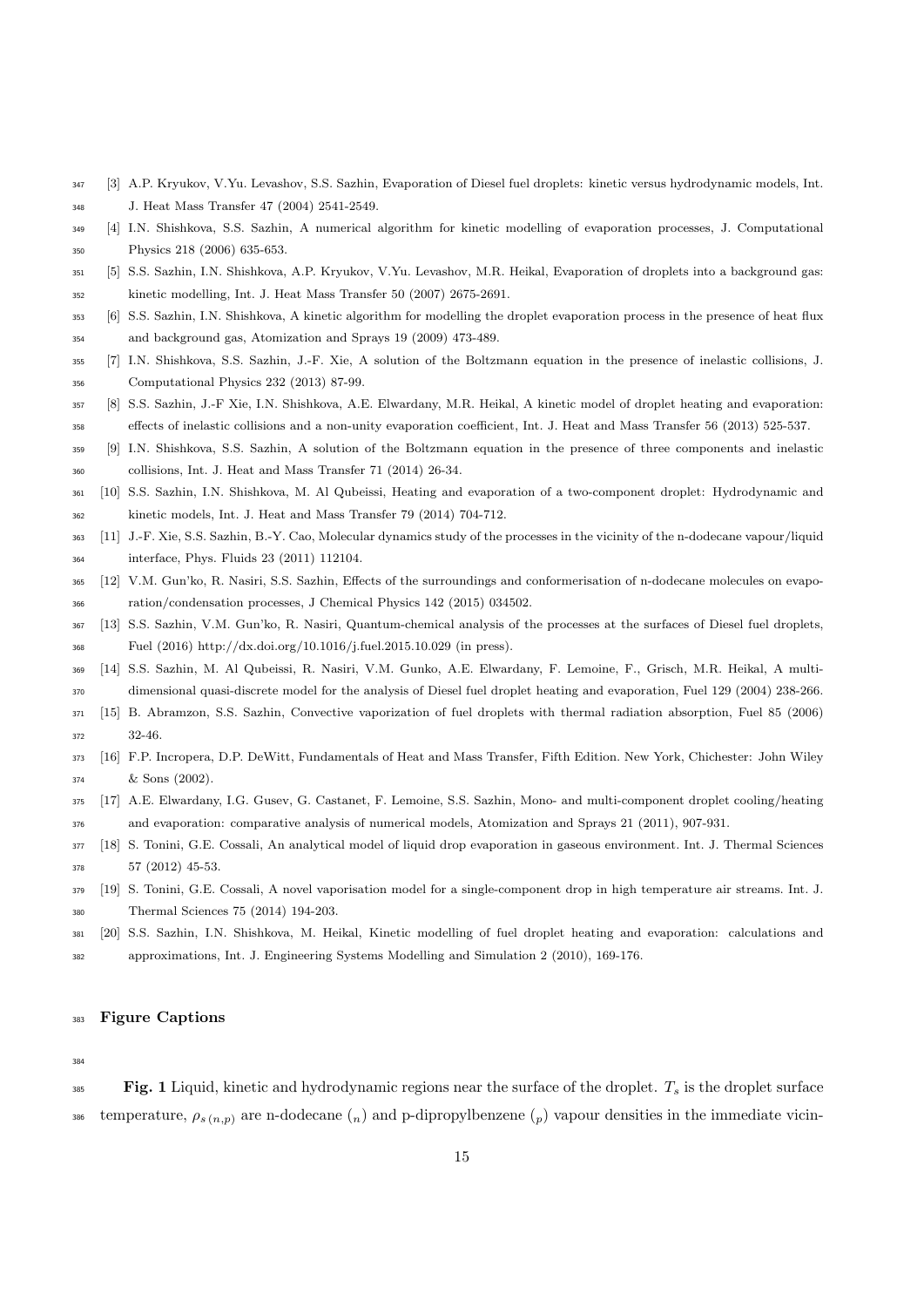- [3] A.P. Kryukov, V.Yu. Levashov, S.S. Sazhin, Evaporation of Diesel fuel droplets: kinetic versus hydrodynamic models, Int.
- J. Heat Mass Transfer 47 (2004) 2541-2549.
- [4] I.N. Shishkova, S.S. Sazhin, A numerical algorithm for kinetic modelling of evaporation processes, J. Computational Physics 218 (2006) 635-653.
- [5] S.S. Sazhin, I.N. Shishkova, A.P. Kryukov, V.Yu. Levashov, M.R. Heikal, Evaporation of droplets into a background gas: kinetic modelling, Int. J. Heat Mass Transfer 50 (2007) 2675-2691.
- [6] S.S. Sazhin, I.N. Shishkova, A kinetic algorithm for modelling the droplet evaporation process in the presence of heat flux and background gas, Atomization and Sprays 19 (2009) 473-489.
- [7] I.N. Shishkova, S.S. Sazhin, J.-F. Xie, A solution of the Boltzmann equation in the presence of inelastic collisions, J. Computational Physics 232 (2013) 87-99.
- [8] S.S. Sazhin, J.-F Xie, I.N. Shishkova, A.E. Elwardany, M.R. Heikal, A kinetic model of droplet heating and evaporation: effects of inelastic collisions and a non-unity evaporation coefficient, Int. J. Heat and Mass Transfer 56 (2013) 525-537.
- [9] I.N. Shishkova, S.S. Sazhin, A solution of the Boltzmann equation in the presence of three components and inelastic collisions, Int. J. Heat and Mass Transfer 71 (2014) 26-34.
- [10] S.S. Sazhin, I.N. Shishkova, M. Al Qubeissi, Heating and evaporation of a two-component droplet: Hydrodynamic and kinetic models, Int. J. Heat and Mass Transfer 79 (2014) 704-712.
- [11] J.-F. Xie, S.S. Sazhin, B.-Y. Cao, Molecular dynamics study of the processes in the vicinity of the n-dodecane vapour/liquid interface, Phys. Fluids 23 (2011) 112104.
- [12] V.M. Gun'ko, R. Nasiri, S.S. Sazhin, Effects of the surroundings and conformerisation of n-dodecane molecules on evapo-ration/condensation processes, J Chemical Physics 142 (2015) 034502.
- [13] S.S. Sazhin, V.M. Gun'ko, R. Nasiri, Quantum-chemical analysis of the processes at the surfaces of Diesel fuel droplets, Fuel (2016) http://dx.doi.org/10.1016/j.fuel.2015.10.029 (in press).
- [14] S.S. Sazhin, M. Al Qubeissi, R. Nasiri, V.M. Gunko, A.E. Elwardany, F. Lemoine, F., Grisch, M.R. Heikal, A multi-dimensional quasi-discrete model for the analysis of Diesel fuel droplet heating and evaporation, Fuel 129 (2004) 238-266.
- [15] B. Abramzon, S.S. Sazhin, Convective vaporization of fuel droplets with thermal radiation absorption, Fuel 85 (2006) 32-46.
- [16] F.P. Incropera, D.P. DeWitt, Fundamentals of Heat and Mass Transfer, Fifth Edition. New York, Chichester: John Wiley & Sons (2002).
- [17] A.E. Elwardany, I.G. Gusev, G. Castanet, F. Lemoine, S.S. Sazhin, Mono- and multi-component droplet cooling/heating and evaporation: comparative analysis of numerical models, Atomization and Sprays 21 (2011), 907-931.
- [18] S. Tonini, G.E. Cossali, An analytical model of liquid drop evaporation in gaseous environment. Int. J. Thermal Sciences 57 (2012) 45-53.
- [19] S. Tonini, G.E. Cossali, A novel vaporisation model for a single-component drop in high temperature air streams. Int. J.
- Thermal Sciences 75 (2014) 194-203.
- [20] S.S. Sazhin, I.N. Shishkova, M. Heikal, Kinetic modelling of fuel droplet heating and evaporation: calculations and approximations, Int. J. Engineering Systems Modelling and Simulation 2 (2010), 169-176.

#### Figure Captions

#### 

 $\text{Fig. 1}$  Liquid, kinetic and hydrodynamic regions near the surface of the droplet.  $T_s$  is the droplet surface 386 temperature,  $\rho_{s(n,p)}$  are n-dodecane  $\binom{n}{n}$  and p-dipropylbenzene  $\binom{p}{p}$  vapour densities in the immediate vicin-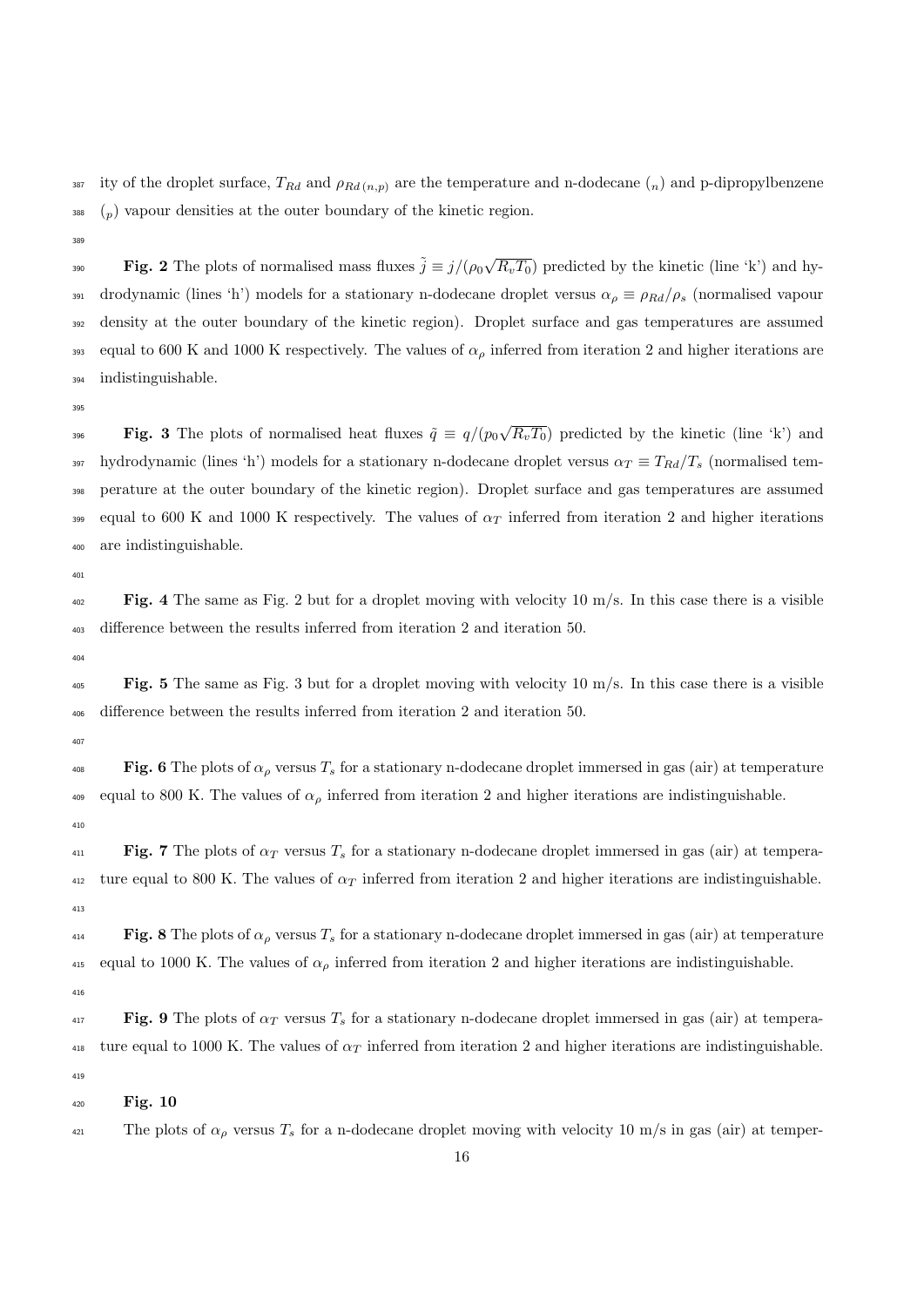387 ity of the droplet surface,  $T_{Rd}$  and  $\rho_{Rd (n,p)}$  are the temperature and n-dodecane  $\binom{n}{n}$  and p-dipropylbenzene  $\mathfrak{g}_{88}$  (p) vapour densities at the outer boundary of the kinetic region.

380

**Fig. 2** The plots of normalised mass fluxes  $\tilde{j} \equiv j/(\rho_0 \sqrt{R_v T_0})$  predicted by the kinetic (line 'k') and hy-391 drodynamic (lines 'h') models for a stationary n-dodecane droplet versus  $\alpha_\rho \equiv \rho_{Rd}/\rho_s$  (normalised vapour <sup>392</sup> density at the outer boundary of the kinetic region). Droplet surface and gas temperatures are assumed 393 equal to 600 K and 1000 K respectively. The values of  $\alpha_{\rho}$  inferred from iteration 2 and higher iterations are <sup>394</sup> indistinguishable.

395

**Fig. 3** The plots of normalised heat fluxes  $\tilde{q} \equiv q/(p_0\sqrt{R_vT_0})$  predicted by the kinetic (line 'k') and 397 hydrodynamic (lines 'h') models for a stationary n-dodecane droplet versus  $\alpha_T \equiv T_{Rd}/T_s$  (normalised tem-<sup>398</sup> perature at the outer boundary of the kinetic region). Droplet surface and gas temperatures are assumed <sup>399</sup> equal to 600 K and 1000 K respectively. The values of  $\alpha_T$  inferred from iteration 2 and higher iterations <sup>400</sup> are indistinguishable.

 $40<sup>1</sup>$ 

 $_{402}$  Fig. 4 The same as Fig. 2 but for a droplet moving with velocity 10 m/s. In this case there is a visible <sup>403</sup> difference between the results inferred from iteration 2 and iteration 50.

 $40<sup>4</sup>$ 

 $_{405}$  Fig. 5 The same as Fig. 3 but for a droplet moving with velocity 10 m/s. In this case there is a visible <sup>406</sup> difference between the results inferred from iteration 2 and iteration 50.

407

408 Fig. 6 The plots of  $\alpha_\rho$  versus  $T_s$  for a stationary n-dodecane droplet immersed in gas (air) at temperature 409 equal to 800 K. The values of  $\alpha_{\rho}$  inferred from iteration 2 and higher iterations are indistinguishable. 410

 $\text{Fig. 7}$  The plots of  $\alpha_T$  versus  $T_s$  for a stationary n-dodecane droplet immersed in gas (air) at tempera-412 ture equal to 800 K. The values of  $\alpha_T$  inferred from iteration 2 and higher iterations are indistinguishable. 413

414 Fig. 8 The plots of  $\alpha_{\rho}$  versus  $T_s$  for a stationary n-dodecane droplet immersed in gas (air) at temperature 415 equal to 1000 K. The values of  $\alpha_{\rho}$  inferred from iteration 2 and higher iterations are indistinguishable.

416

 $\text{Fig. 9}$  The plots of  $\alpha_T$  versus  $T_s$  for a stationary n-dodecane droplet immersed in gas (air) at tempera-418 ture equal to 1000 K. The values of  $\alpha_T$  inferred from iteration 2 and higher iterations are indistinguishable. 419

<sup>420</sup> Fig. 10

<sup>421</sup> The plots of  $\alpha_{\rho}$  versus  $T_s$  for a n-dodecane droplet moving with velocity 10 m/s in gas (air) at temper-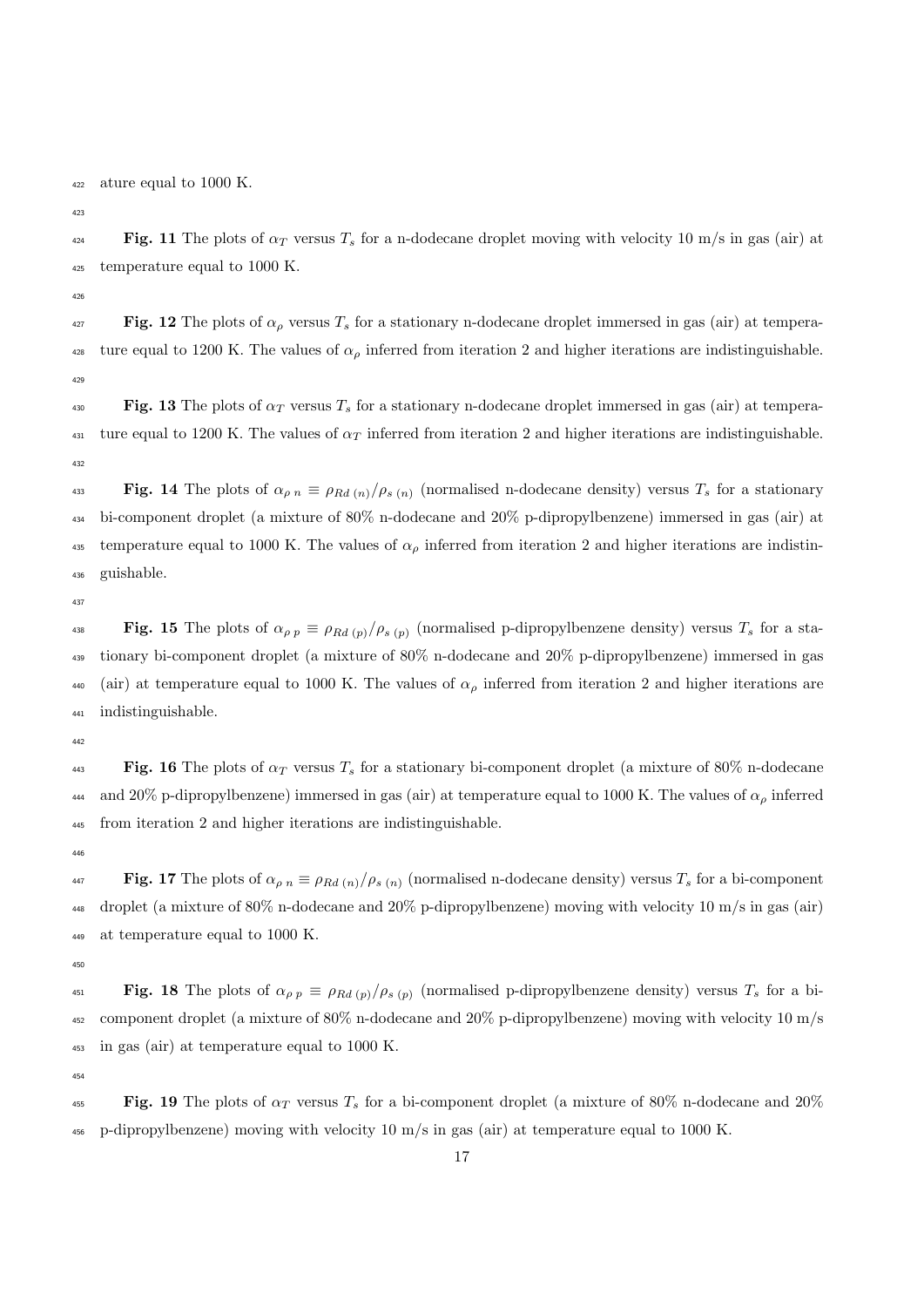ature equal to 1000 K.

 $\mathbf{Fig. 11}$  The plots of  $\alpha_T$  versus  $T_s$  for a n-dodecane droplet moving with velocity 10 m/s in gas (air) at temperature equal to 1000 K.

427 Fig. 12 The plots of  $\alpha_\rho$  versus  $T_s$  for a stationary n-dodecane droplet immersed in gas (air) at tempera-<sup>428</sup> ture equal to 1200 K. The values of  $\alpha_{\rho}$  inferred from iteration 2 and higher iterations are indistinguishable. 

Fig. 13 The plots of  $\alpha_T$  versus  $T_s$  for a stationary n-dodecane droplet immersed in gas (air) at tempera-<sup>431</sup> ture equal to 1200 K. The values of  $\alpha_T$  inferred from iteration 2 and higher iterations are indistinguishable. 

433 Fig. 14 The plots of  $\alpha_{\rho n} \equiv \rho_{Rd(n)}/\rho_{s(n)}$  (normalised n-dodecane density) versus  $T_s$  for a stationary bi-component droplet (a mixture of 80% n-dodecane and 20% p-dipropylbenzene) immersed in gas (air) at <sup>435</sup> temperature equal to 1000 K. The values of  $\alpha_{\rho}$  inferred from iteration 2 and higher iterations are indistin-guishable.

**Fig. 15** The plots of  $\alpha_{\rho p} \equiv \rho_{Rd(p)}/\rho_{s(p)}$  (normalised p-dipropylbenzene density) versus  $T_s$  for a sta- tionary bi-component droplet (a mixture of 80% n-dodecane and 20% p-dipropylbenzene) immersed in gas 440 (air) at temperature equal to 1000 K. The values of  $\alpha_{\rho}$  inferred from iteration 2 and higher iterations are indistinguishable.

**443** Fig. 16 The plots of  $\alpha_T$  versus  $T_s$  for a stationary bi-component droplet (a mixture of 80% n-dodecane and 20% p-dipropylbenzene) immersed in gas (air) at temperature equal to 1000 K. The values of  $\alpha_{\rho}$  inferred from iteration 2 and higher iterations are indistinguishable.

447 Fig. 17 The plots of  $\alpha_{\rho n} \equiv \rho_{Rd(n)}/\rho_{s(n)}$  (normalised n-dodecane density) versus  $T_s$  for a bi-component droplet (a mixture of 80% n-dodecane and 20% p-dipropylbenzene) moving with velocity 10 m/s in gas (air) at temperature equal to 1000 K.

451 **Fig. 18** The plots of  $\alpha_{\rho p} \equiv \rho_{Rd (p)}/\rho_{s (p)}$  (normalised p-dipropylbenzene density) versus  $T_s$  for a bi- component droplet (a mixture of 80% n-dodecane and 20% p-dipropylbenzene) moving with velocity 10 m/s in gas (air) at temperature equal to 1000 K.

**Fig. 19** The plots of  $\alpha_T$  versus  $T_s$  for a bi-component droplet (a mixture of 80% n-dodecane and 20%) p-dipropylbenzene) moving with velocity 10 m/s in gas (air) at temperature equal to 1000 K.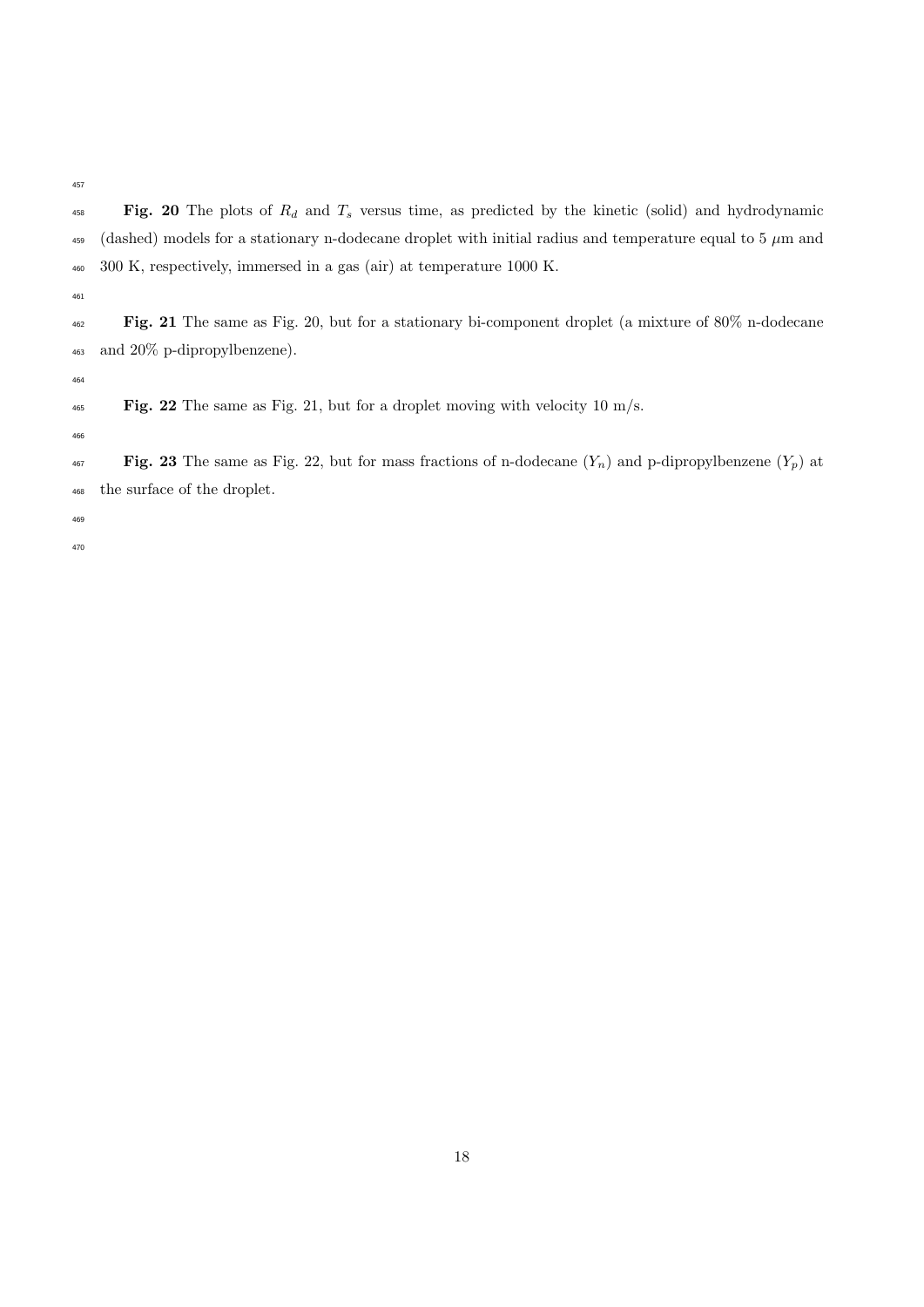- $Fig.$  20 The plots of  $R_d$  and  $T_s$  versus time, as predicted by the kinetic (solid) and hydrodynamic 459 (dashed) models for a stationary n-dodecane droplet with initial radius and temperature equal to 5  $\mu$ m and 300 K, respectively, immersed in a gas (air) at temperature 1000 K.
- 

 $F$ ig. 22 The same as Fig. 21, but for a droplet moving with velocity 10 m/s.

- 
- 

 Fig. 21 The same as Fig. 20, but for a stationary bi-component droplet (a mixture of 80% n-dodecane and 20% p-dipropylbenzene).

 $\text{Fig. 23}$  The same as Fig. 22, but for mass fractions of n-dodecane  $(Y_n)$  and p-dipropylbenzene  $(Y_p)$  at the surface of the droplet.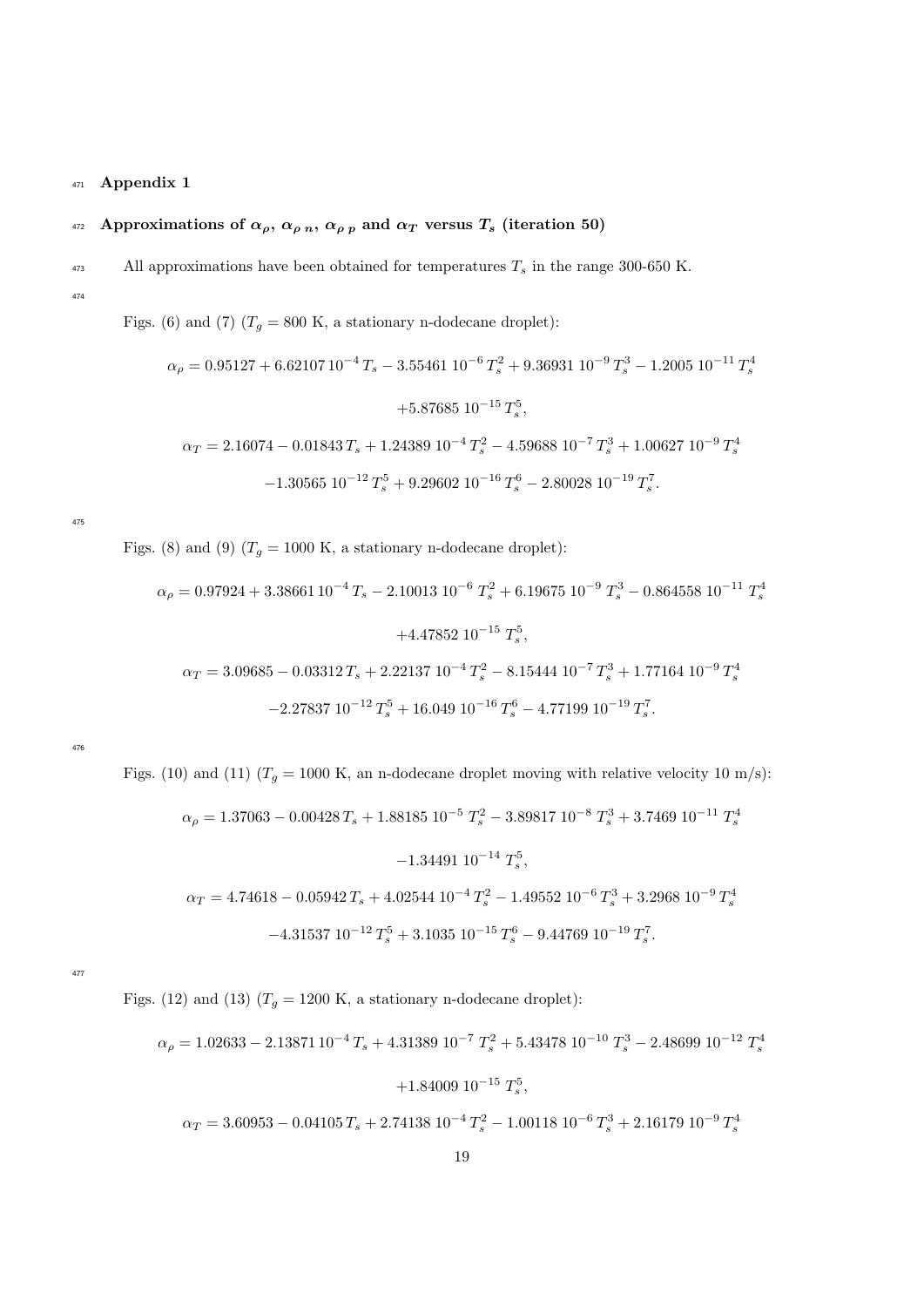#### <sup>471</sup> Appendix 1

## 472 Approximations of  $\alpha_{\rho}, \alpha_{\rho n}, \alpha_{\rho p}$  and  $\alpha_T$  versus  $T_s$  (iteration 50)

- <sup>473</sup> All approximations have been obtained for temperatures  $T_s$  in the range 300-650 K.
- 474

Figs. (6) and (7)  $(T_g = 800 \text{ K}$ , a stationary n-dodecane droplet):

$$
\alpha_{\rho} = 0.95127 + 6.6210710^{-4} T_s - 3.55461 10^{-6} T_s^2 + 9.36931 10^{-9} T_s^3 - 1.2005 10^{-11} T_s^4
$$

$$
+ 5.87685 10^{-15} T_s^5,
$$

$$
\alpha_T = 2.16074 - 0.01843 T_s + 1.24389 10^{-4} T_s^2 - 4.59688 10^{-7} T_s^3 + 1.00627 10^{-9} T_s^4
$$

$$
-1.30565 10^{-12} T_s^5 + 9.29602 10^{-16} T_s^6 - 2.80028 10^{-19} T_s^7.
$$

475

Figs. (8) and (9)  $(T_g = 1000 \text{ K}, \text{ a stationary n-dodecane droplet})$ :

$$
\alpha_{\rho} = 0.97924 + 3.38661 10^{-4} T_s - 2.10013 10^{-6} T_s^2 + 6.19675 10^{-9} T_s^3 - 0.864558 10^{-11} T_s^4
$$

$$
+ 4.47852 10^{-15} T_s^5,
$$

$$
\alpha_T = 3.09685 - 0.03312 T_s + 2.22137 10^{-4} T_s^2 - 8.15444 10^{-7} T_s^3 + 1.77164 10^{-9} T_s^4
$$

$$
- 2.27837 10^{-12} T_s^5 + 16.049 10^{-16} T_s^6 - 4.77199 10^{-19} T_s^7.
$$

476

Figs. (10) and (11)  $(T_g = 1000 \text{ K}, \text{ an n-dodecane droplet moving with relative velocity } 10 \text{ m/s})$ :

$$
\alpha_{\rho} = 1.37063 - 0.00428 T_s + 1.88185 10^{-5} T_s^2 - 3.89817 10^{-8} T_s^3 + 3.7469 10^{-11} T_s^4
$$

$$
-1.34491 10^{-14} T_s^5,
$$

$$
\alpha_T = 4.74618 - 0.05942 T_s + 4.02544 10^{-4} T_s^2 - 1.49552 10^{-6} T_s^3 + 3.2968 10^{-9} T_s^4
$$

$$
-4.31537 10^{-12} T_s^5 + 3.1035 10^{-15} T_s^6 - 9.44769 10^{-19} T_s^7.
$$

477

Figs. (12) and (13)  $(T_g = 1200 \text{ K}$ , a stationary n-dodecane droplet):

$$
\alpha_{\rho} = 1.02633 - 2.13871 10^{-4} T_s + 4.31389 10^{-7} T_s^2 + 5.43478 10^{-10} T_s^3 - 2.48699 10^{-12} T_s^4
$$

$$
+ 1.84009 10^{-15} T_s^5,
$$

$$
\alpha_T = 3.60953 - 0.04105 T_s + 2.74138 10^{-4} T_s^2 - 1.00118 10^{-6} T_s^3 + 2.16179 10^{-9} T_s^4
$$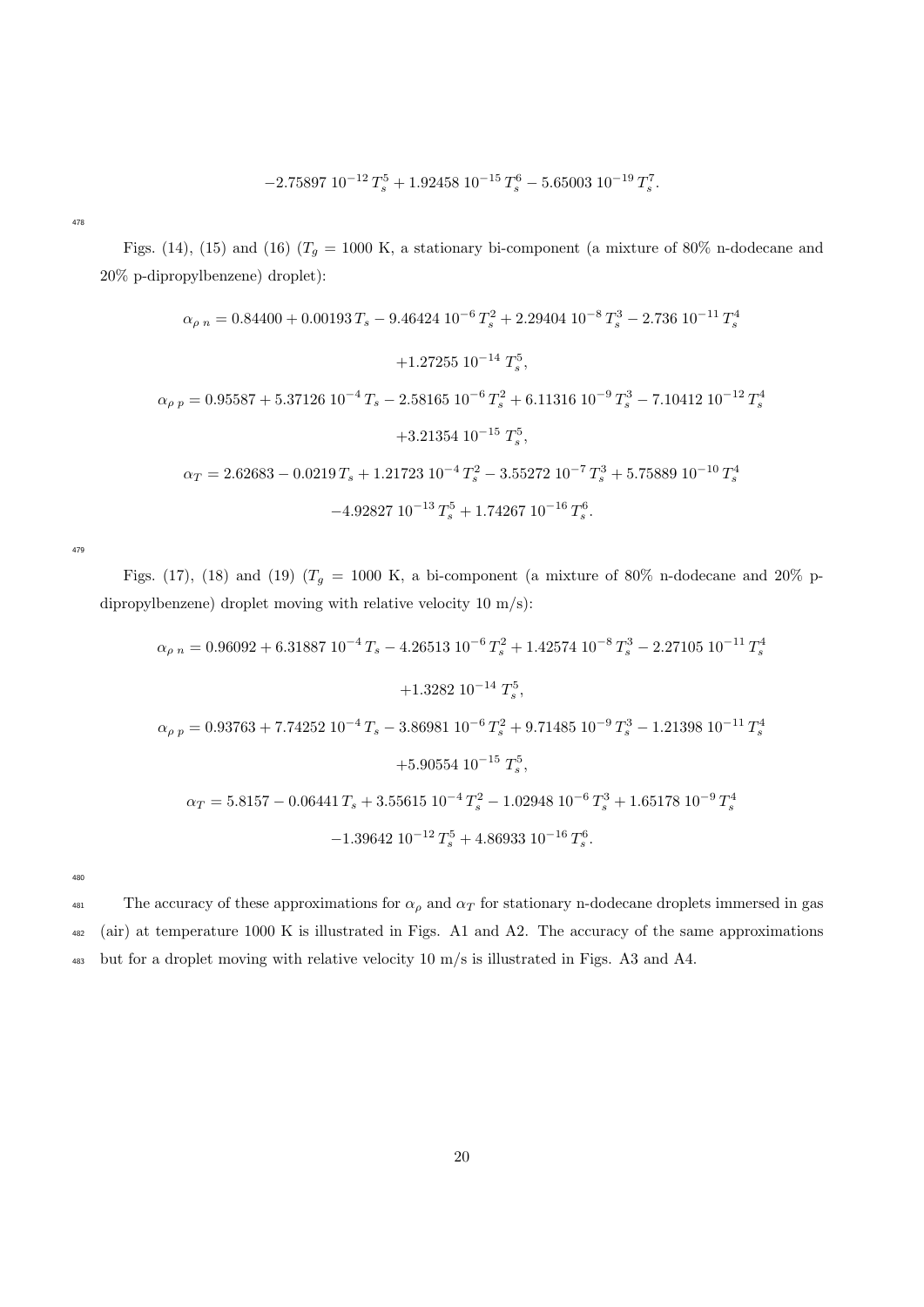$$
-2.75897\ 10^{-12}\ T_s^5 + 1.92458\ 10^{-15}\ T_s^6 - 5.65003\ 10^{-19}\ T_s^7.
$$

478

Figs. (14), (15) and (16) ( $T_g = 1000$  K, a stationary bi-component (a mixture of 80% n-dodecane and 20% p-dipropylbenzene) droplet):

$$
\alpha_{\rho n} = 0.84400 + 0.00193 T_s - 9.46424 \, 10^{-6} T_s^2 + 2.29404 \, 10^{-8} T_s^3 - 2.736 \, 10^{-11} T_s^4
$$

$$
+ 1.27255 \, 10^{-14} T_s^5,
$$

$$
\alpha_{\rho p} = 0.95587 + 5.37126 \, 10^{-4} T_s - 2.58165 \, 10^{-6} T_s^2 + 6.11316 \, 10^{-9} T_s^3 - 7.10412 \, 10^{-12} T_s^4
$$

$$
+ 3.21354 \, 10^{-15} T_s^5,
$$

$$
\alpha_T = 2.62683 - 0.0219 T_s + 1.21723 \, 10^{-4} T_s^2 - 3.55272 \, 10^{-7} T_s^3 + 5.75889 \, 10^{-10} T_s^4
$$

$$
-4.92827 \, 10^{-13} T_s^5 + 1.74267 \, 10^{-16} T_s^6.
$$

479

Figs. (17), (18) and (19) ( $T_g$  = 1000 K, a bi-component (a mixture of 80% n-dodecane and 20% pdipropylbenzene) droplet moving with relative velocity 10 m/s):

$$
\alpha_{\rho n} = 0.96092 + 6.31887 \ 10^{-4} \, T_s - 4.26513 \ 10^{-6} \, T_s^2 + 1.42574 \ 10^{-8} \, T_s^3 - 2.27105 \ 10^{-11} \, T_s^4
$$

$$
+ 1.3282 \ 10^{-14} \, T_s^5,
$$

$$
\alpha_{\rho p} = 0.93763 + 7.74252 \ 10^{-4} \, T_s - 3.86981 \ 10^{-6} \, T_s^2 + 9.71485 \ 10^{-9} \, T_s^3 - 1.21398 \ 10^{-11} \, T_s^4
$$

$$
+ 5.90554 \ 10^{-15} \, T_s^5,
$$

$$
\alpha_T = 5.8157 - 0.06441 \, T_s + 3.55615 \ 10^{-4} \, T_s^2 - 1.02948 \ 10^{-6} \, T_s^3 + 1.65178 \ 10^{-9} \, T_s^4
$$

$$
-1.39642 \ 10^{-12} \, T_s^5 + 4.86933 \ 10^{-16} \, T_s^6.
$$

480

<sup>481</sup> The accuracy of these approximations for  $\alpha_{\rho}$  and  $\alpha_{T}$  for stationary n-dodecane droplets immersed in gas <sup>482</sup> (air) at temperature 1000 K is illustrated in Figs. A1 and A2. The accuracy of the same approximations <sup>483</sup> but for a droplet moving with relative velocity 10 m/s is illustrated in Figs. A3 and A4.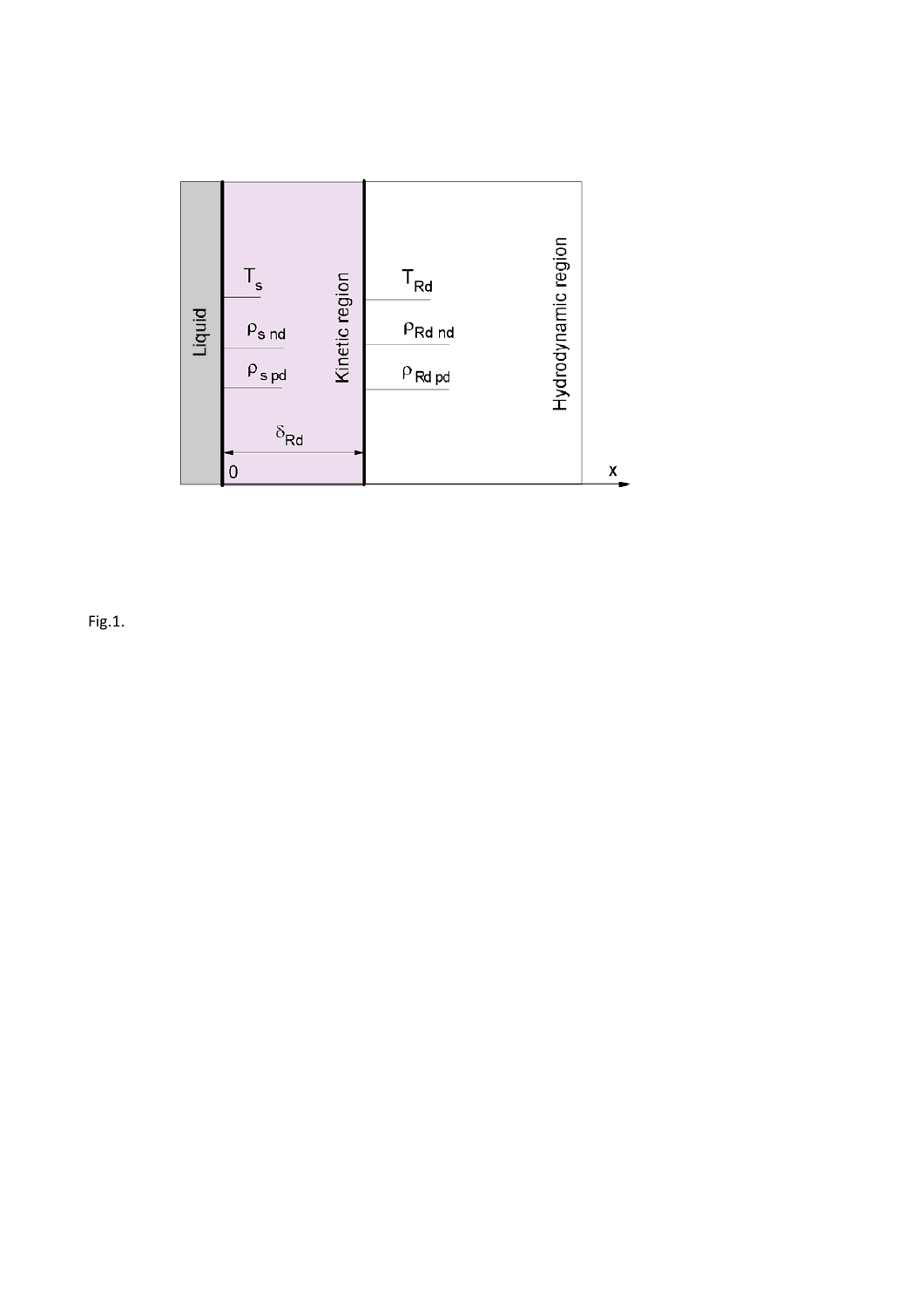

Fig.1.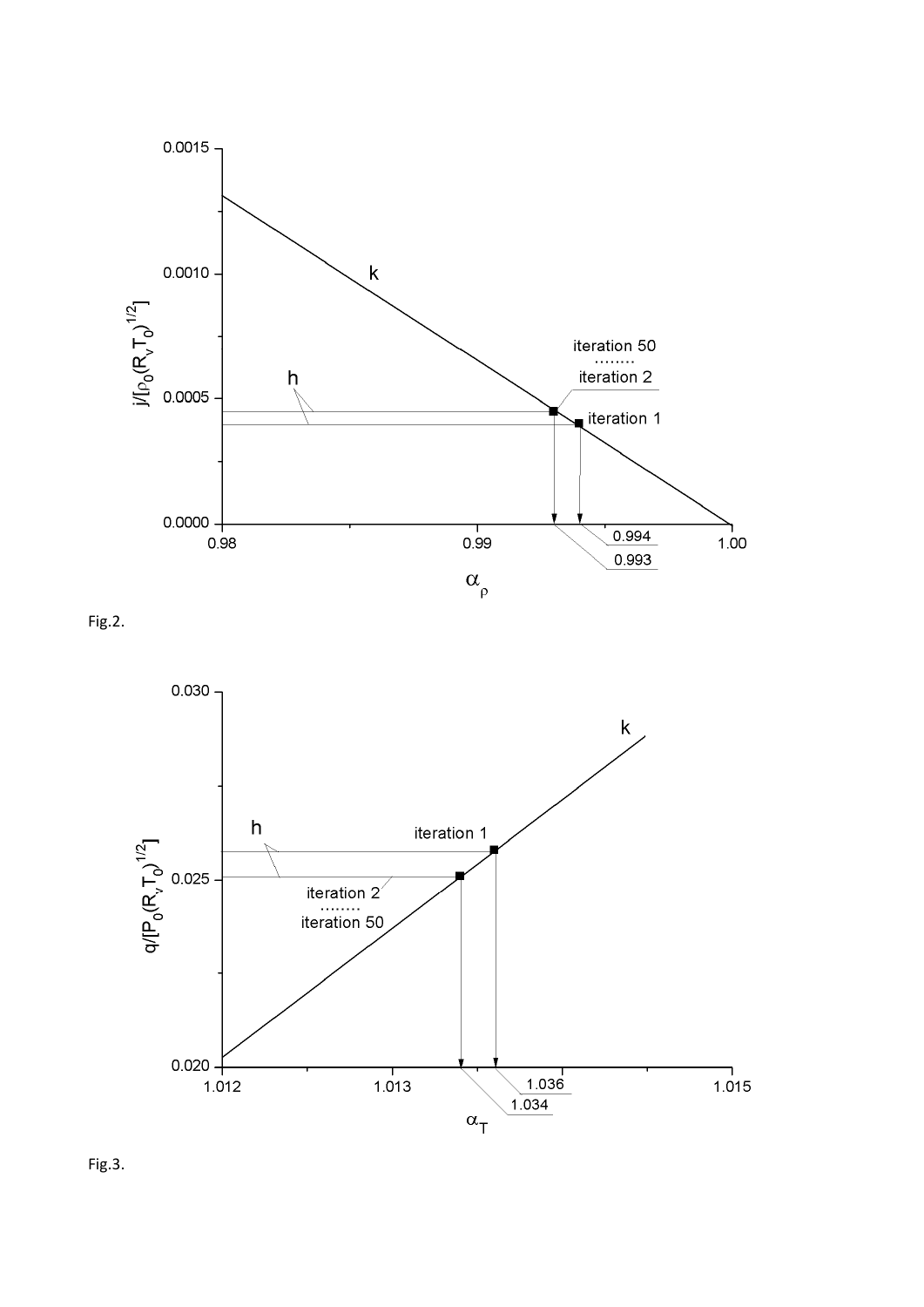

Fig.2.



Fig.3.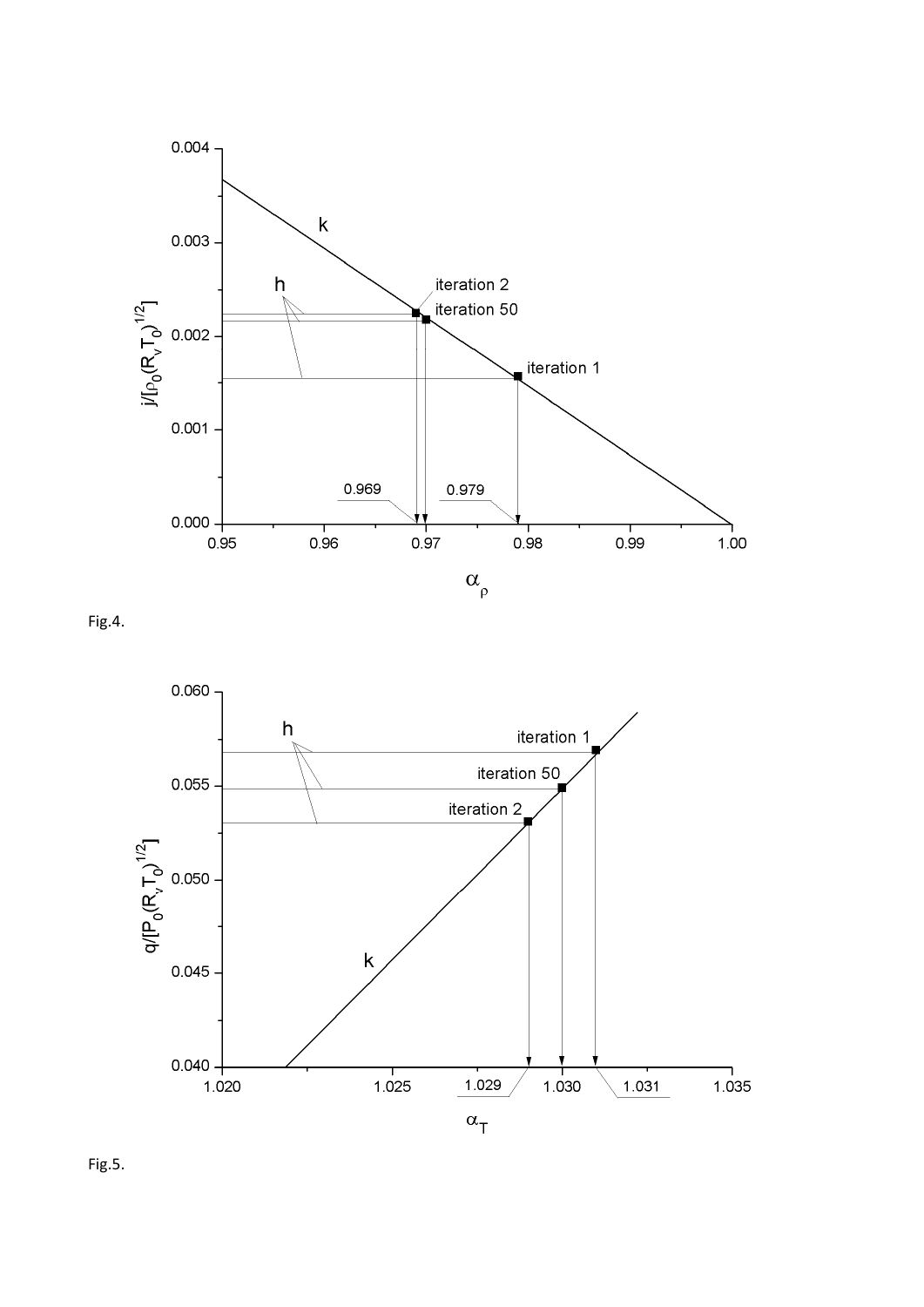

Fig.4.



Fig.5.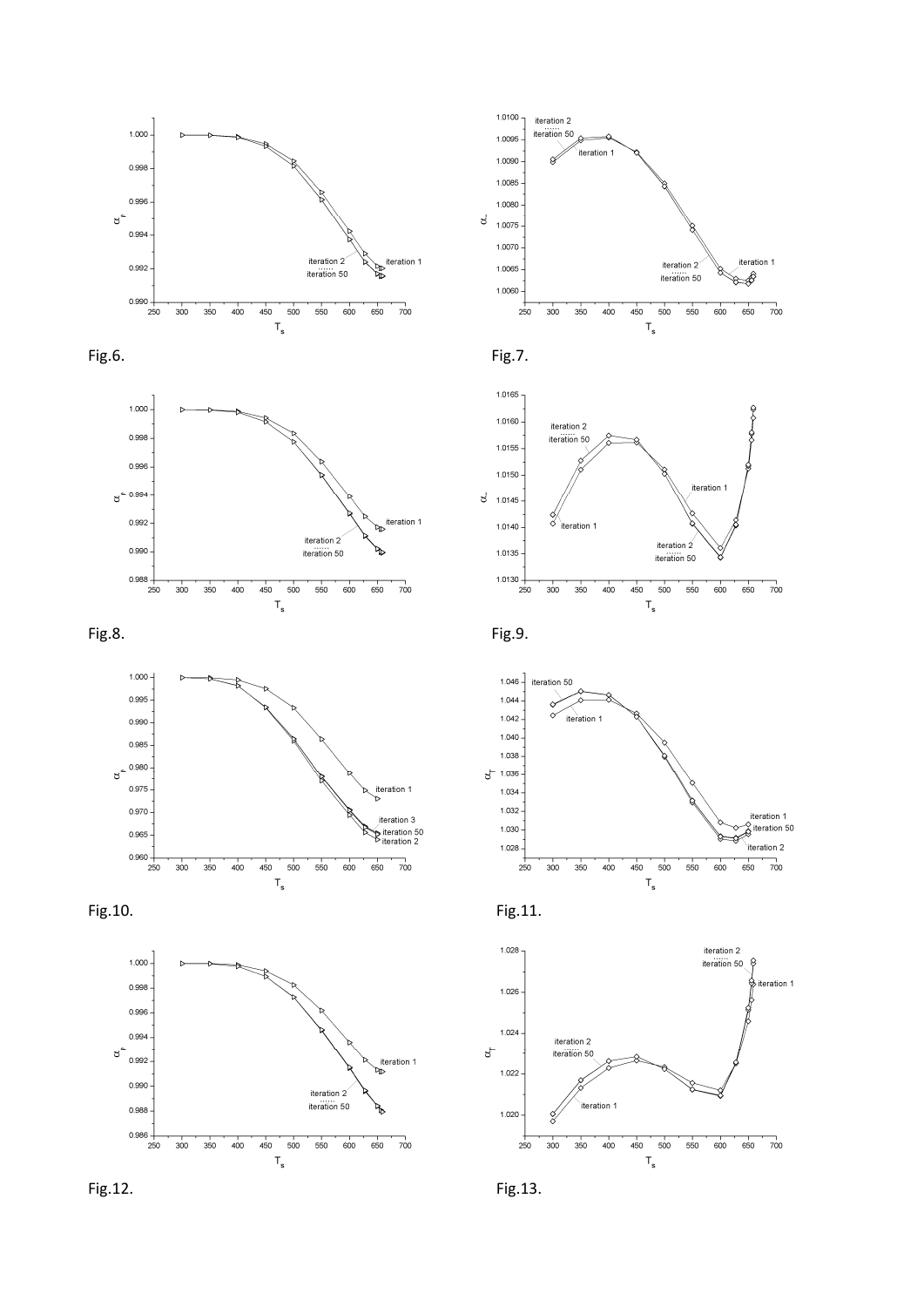



























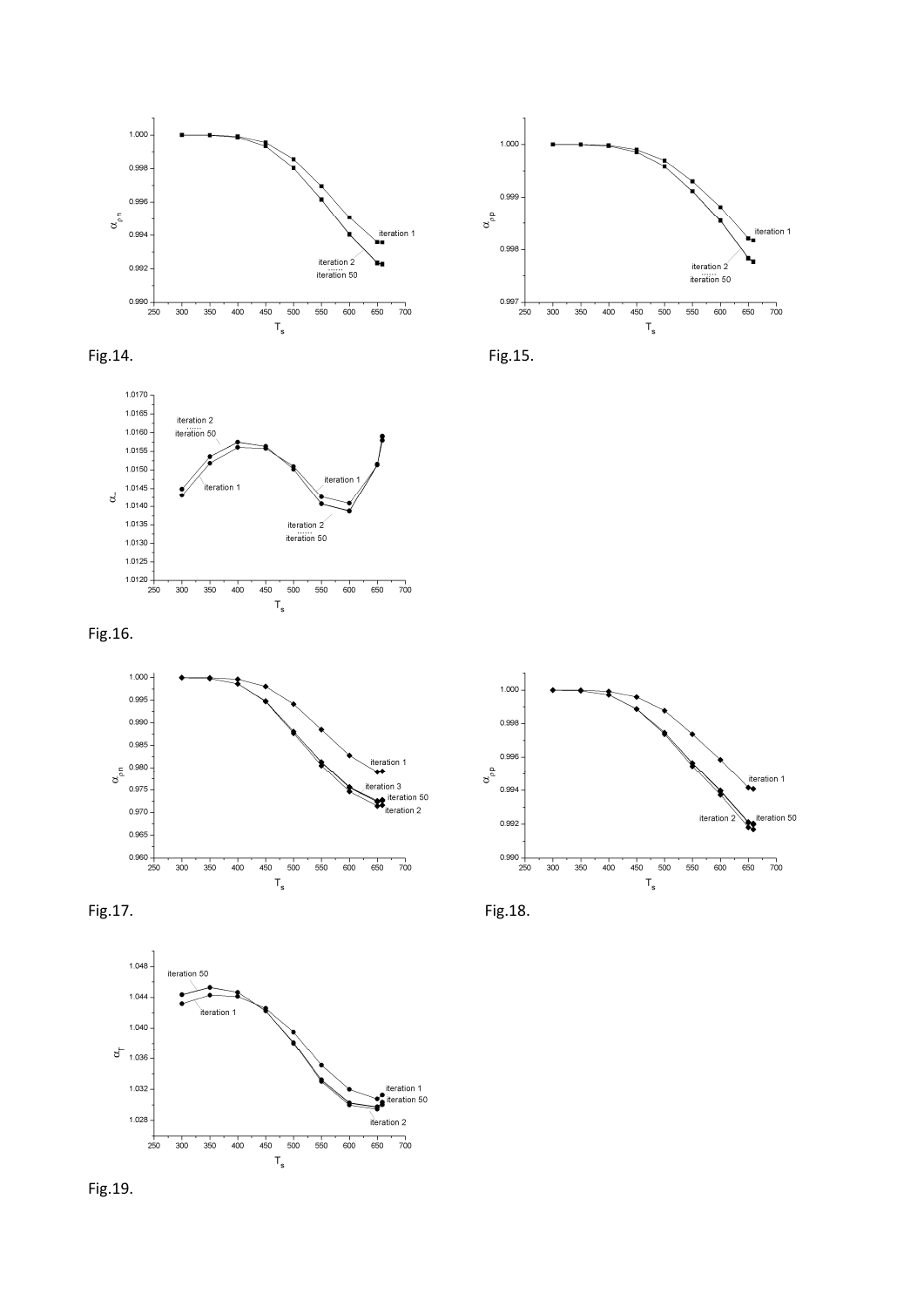

















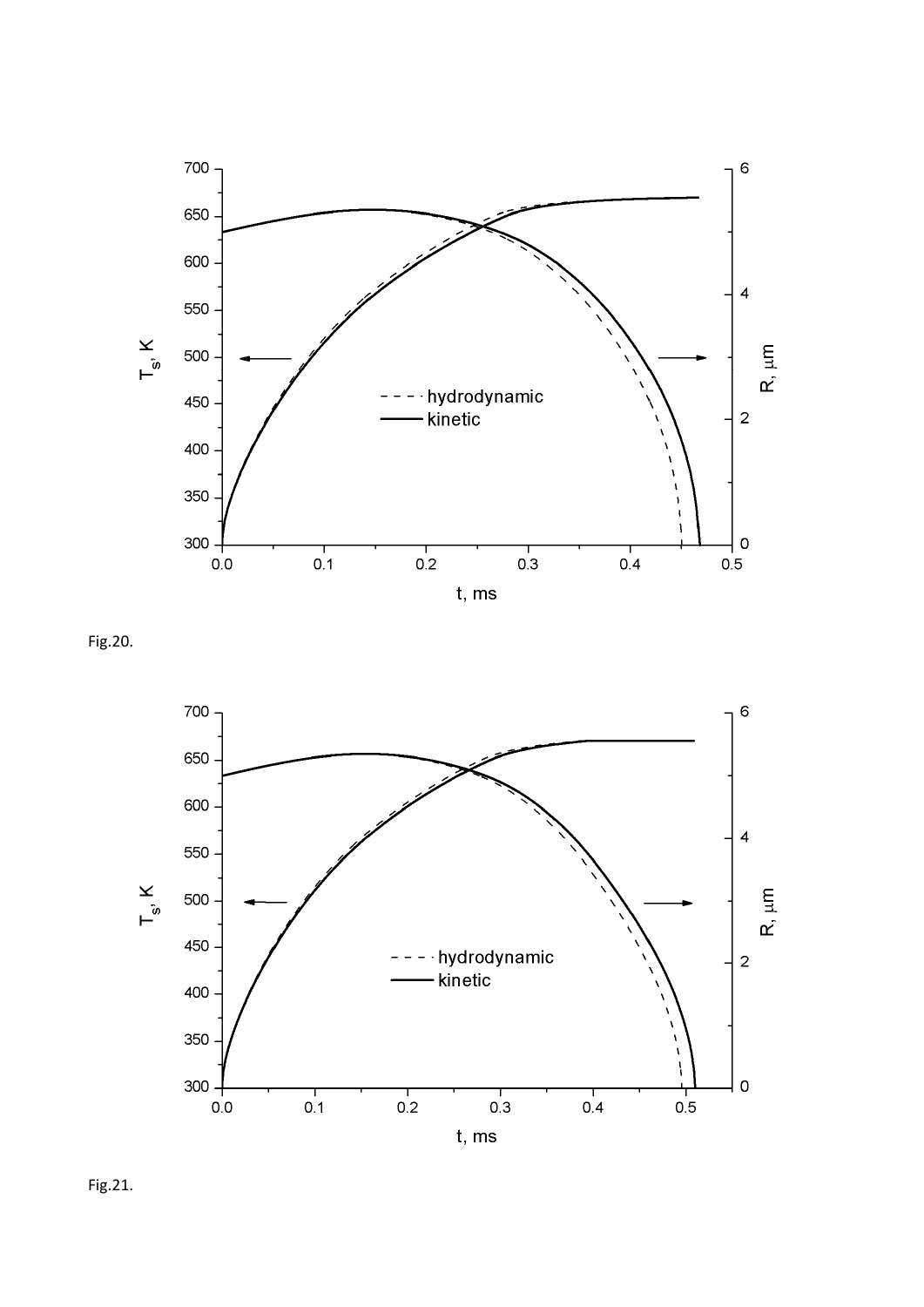

Fig.20.



Fig.21.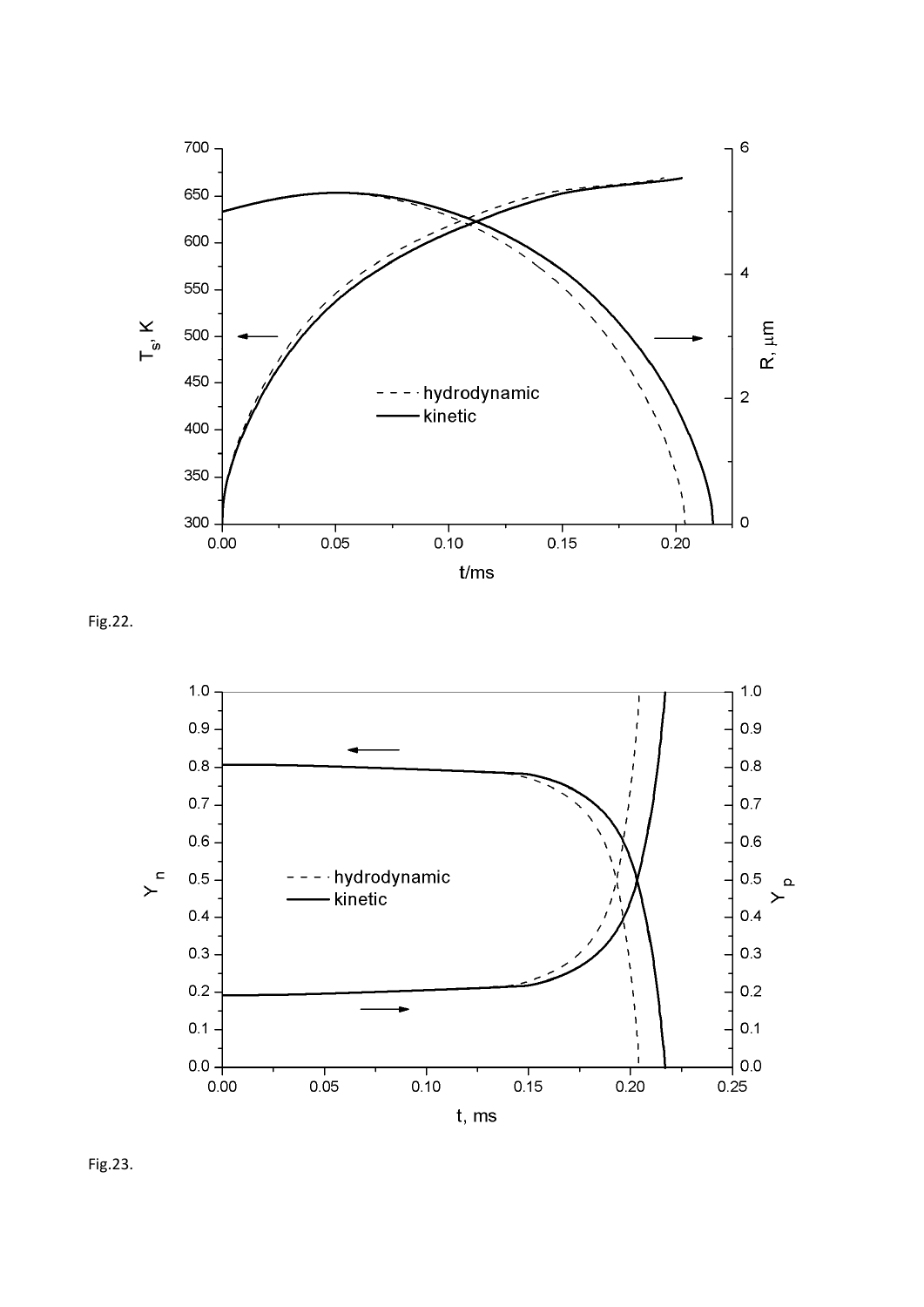

Fig.22.



Fig.23.